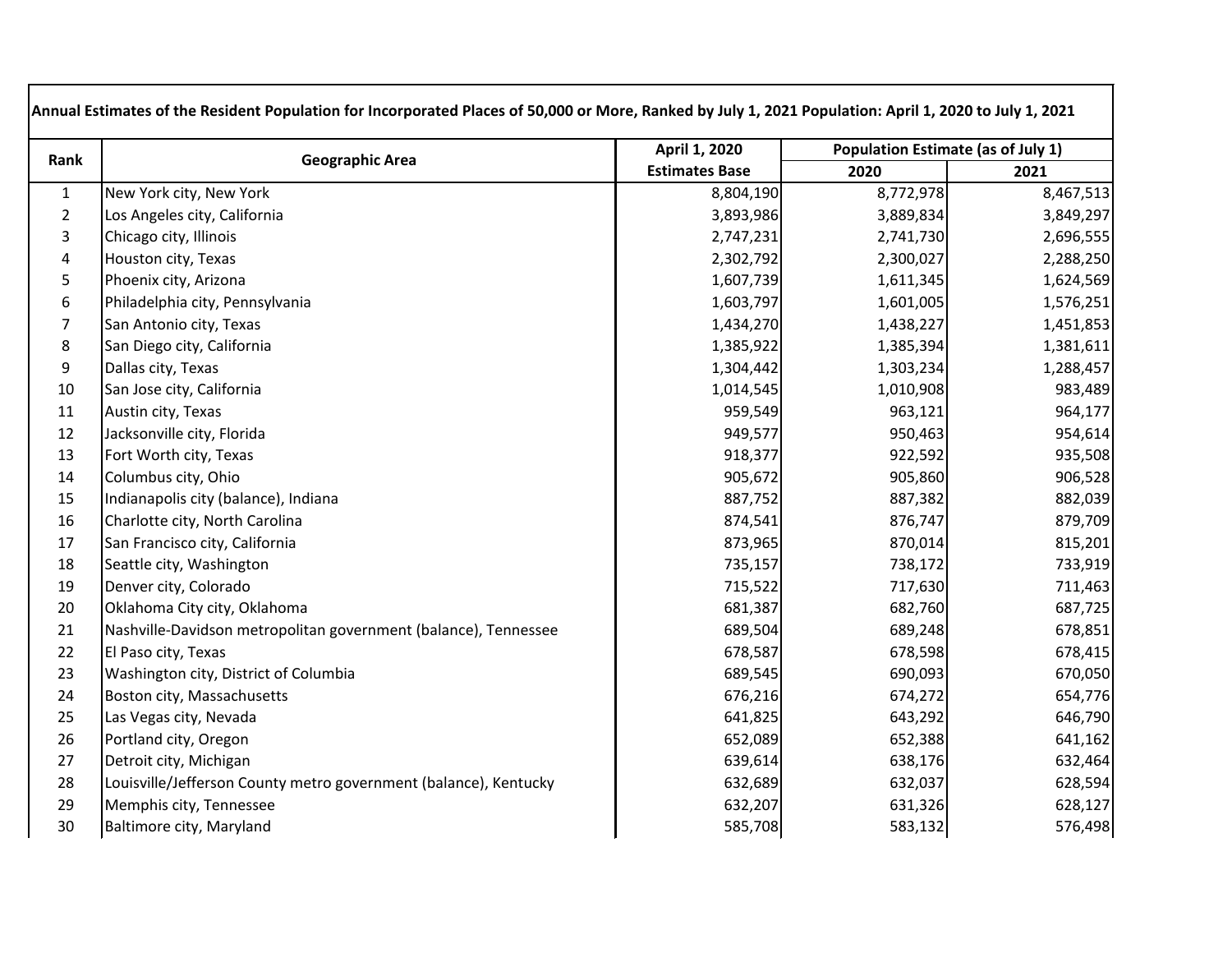| Rank           | <b>Geographic Area</b>                                           | April 1, 2020         | Population Estimate (as of July 1) |           |
|----------------|------------------------------------------------------------------|-----------------------|------------------------------------|-----------|
|                |                                                                  | <b>Estimates Base</b> | 2020                               | 2021      |
| $\mathbf{1}$   | New York city, New York                                          | 8,804,190             | 8,772,978                          | 8,467,513 |
| $\overline{2}$ | Los Angeles city, California                                     | 3,893,986             | 3,889,834                          | 3,849,297 |
| 3              | Chicago city, Illinois                                           | 2,747,231             | 2,741,730                          | 2,696,555 |
| $\pmb{4}$      | Houston city, Texas                                              | 2,302,792             | 2,300,027                          | 2,288,250 |
| 5              | Phoenix city, Arizona                                            | 1,607,739             | 1,611,345                          | 1,624,569 |
| 6              | Philadelphia city, Pennsylvania                                  | 1,603,797             | 1,601,005                          | 1,576,251 |
| $\overline{7}$ | San Antonio city, Texas                                          | 1,434,270             | 1,438,227                          | 1,451,853 |
| $\bf 8$        | San Diego city, California                                       | 1,385,922             | 1,385,394                          | 1,381,611 |
| 9              | Dallas city, Texas                                               | 1,304,442             | 1,303,234                          | 1,288,457 |
| $10\,$         | San Jose city, California                                        | 1,014,545             | 1,010,908                          | 983,489   |
| 11             | Austin city, Texas                                               | 959,549               | 963,121                            | 964,177   |
| 12             | Jacksonville city, Florida                                       | 949,577               | 950,463                            | 954,614   |
| 13             | Fort Worth city, Texas                                           | 918,377               | 922,592                            | 935,508   |
| 14             | Columbus city, Ohio                                              | 905,672               | 905,860                            | 906,528   |
| 15             | Indianapolis city (balance), Indiana                             | 887,752               | 887,382                            | 882,039   |
| 16             | Charlotte city, North Carolina                                   | 874,541               | 876,747                            | 879,709   |
| 17             | San Francisco city, California                                   | 873,965               | 870,014                            | 815,201   |
| 18             | Seattle city, Washington                                         | 735,157               | 738,172                            | 733,919   |
| 19             | Denver city, Colorado                                            | 715,522               | 717,630                            | 711,463   |
| 20             | Oklahoma City city, Oklahoma                                     | 681,387               | 682,760                            | 687,725   |
| 21             | Nashville-Davidson metropolitan government (balance), Tennessee  | 689,504               | 689,248                            | 678,851   |
| 22             | El Paso city, Texas                                              | 678,587               | 678,598                            | 678,415   |
| 23             | Washington city, District of Columbia                            | 689,545               | 690,093                            | 670,050   |
| 24             | Boston city, Massachusetts                                       | 676,216               | 674,272                            | 654,776   |
| 25             | Las Vegas city, Nevada                                           | 641,825               | 643,292                            | 646,790   |
| 26             | Portland city, Oregon                                            | 652,089               | 652,388                            | 641,162   |
| 27             | Detroit city, Michigan                                           | 639,614               | 638,176                            | 632,464   |
| 28             | Louisville/Jefferson County metro government (balance), Kentucky | 632,689               | 632,037                            | 628,594   |
| 29             | Memphis city, Tennessee                                          | 632,207               | 631,326                            | 628,127   |
| 30             | Baltimore city, Maryland                                         | 585,708               | 583,132                            | 576,498   |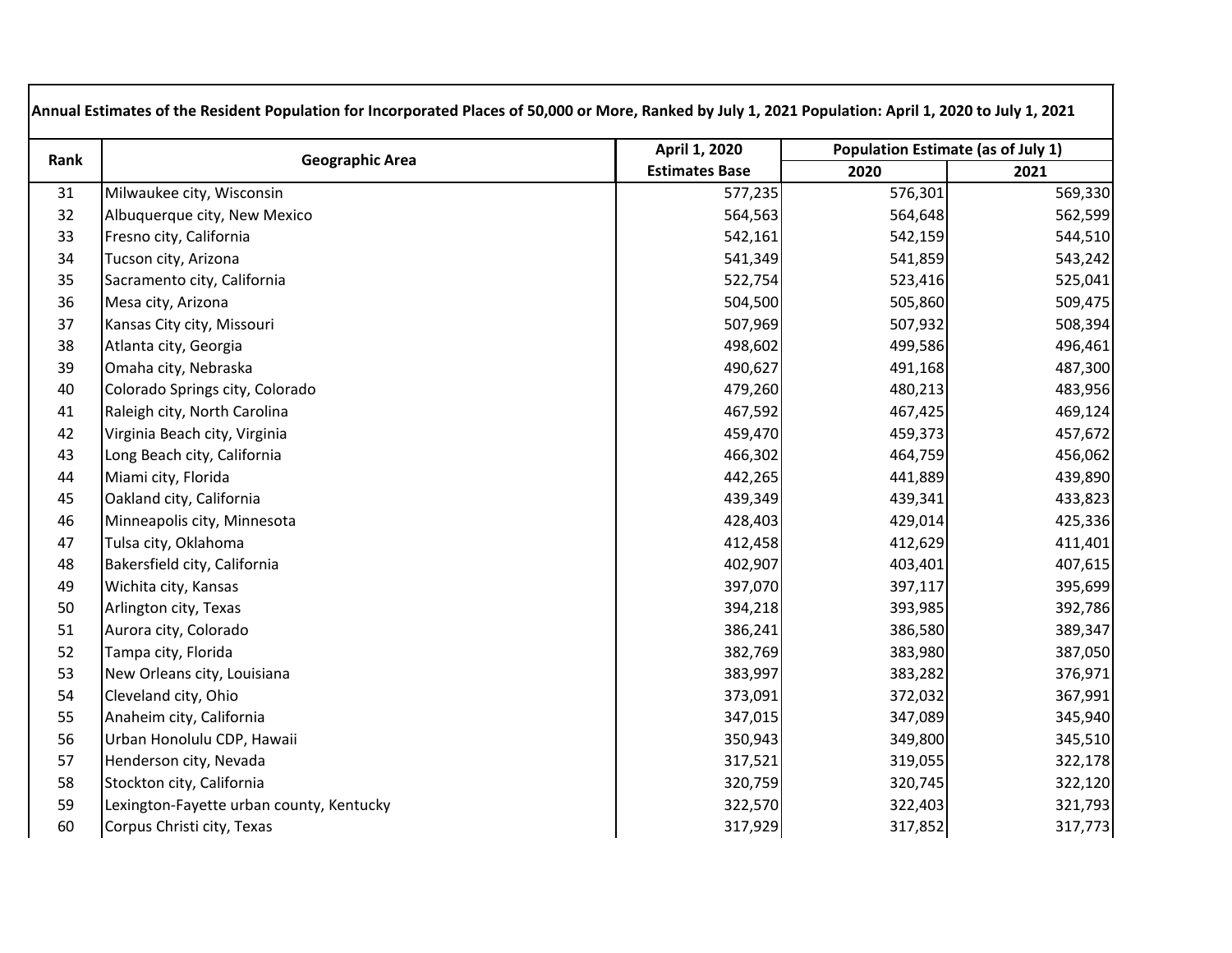| Rank | <b>Geographic Area</b>                   | April 1, 2020         | Population Estimate (as of July 1) |         |
|------|------------------------------------------|-----------------------|------------------------------------|---------|
|      |                                          | <b>Estimates Base</b> | 2020                               | 2021    |
| 31   | Milwaukee city, Wisconsin                | 577,235               | 576,301                            | 569,330 |
| 32   | Albuquerque city, New Mexico             | 564,563               | 564,648                            | 562,599 |
| 33   | Fresno city, California                  | 542,161               | 542,159                            | 544,510 |
| 34   | Tucson city, Arizona                     | 541,349               | 541,859                            | 543,242 |
| 35   | Sacramento city, California              | 522,754               | 523,416                            | 525,041 |
| 36   | Mesa city, Arizona                       | 504,500               | 505,860                            | 509,475 |
| 37   | Kansas City city, Missouri               | 507,969               | 507,932                            | 508,394 |
| 38   | Atlanta city, Georgia                    | 498,602               | 499,586                            | 496,461 |
| 39   | Omaha city, Nebraska                     | 490,627               | 491,168                            | 487,300 |
| 40   | Colorado Springs city, Colorado          | 479,260               | 480,213                            | 483,956 |
| 41   | Raleigh city, North Carolina             | 467,592               | 467,425                            | 469,124 |
| 42   | Virginia Beach city, Virginia            | 459,470               | 459,373                            | 457,672 |
| 43   | Long Beach city, California              | 466,302               | 464,759                            | 456,062 |
| 44   | Miami city, Florida                      | 442,265               | 441,889                            | 439,890 |
| 45   | Oakland city, California                 | 439,349               | 439,341                            | 433,823 |
| 46   | Minneapolis city, Minnesota              | 428,403               | 429,014                            | 425,336 |
| 47   | Tulsa city, Oklahoma                     | 412,458               | 412,629                            | 411,401 |
| 48   | Bakersfield city, California             | 402,907               | 403,401                            | 407,615 |
| 49   | Wichita city, Kansas                     | 397,070               | 397,117                            | 395,699 |
| 50   | Arlington city, Texas                    | 394,218               | 393,985                            | 392,786 |
| 51   | Aurora city, Colorado                    | 386,241               | 386,580                            | 389,347 |
| 52   | Tampa city, Florida                      | 382,769               | 383,980                            | 387,050 |
| 53   | New Orleans city, Louisiana              | 383,997               | 383,282                            | 376,971 |
| 54   | Cleveland city, Ohio                     | 373,091               | 372,032                            | 367,991 |
| 55   | Anaheim city, California                 | 347,015               | 347,089                            | 345,940 |
| 56   | Urban Honolulu CDP, Hawaii               | 350,943               | 349,800                            | 345,510 |
| 57   | Henderson city, Nevada                   | 317,521               | 319,055                            | 322,178 |
| 58   | Stockton city, California                | 320,759               | 320,745                            | 322,120 |
| 59   | Lexington-Fayette urban county, Kentucky | 322,570               | 322,403                            | 321,793 |
| 60   | Corpus Christi city, Texas               | 317,929               | 317,852                            | 317,773 |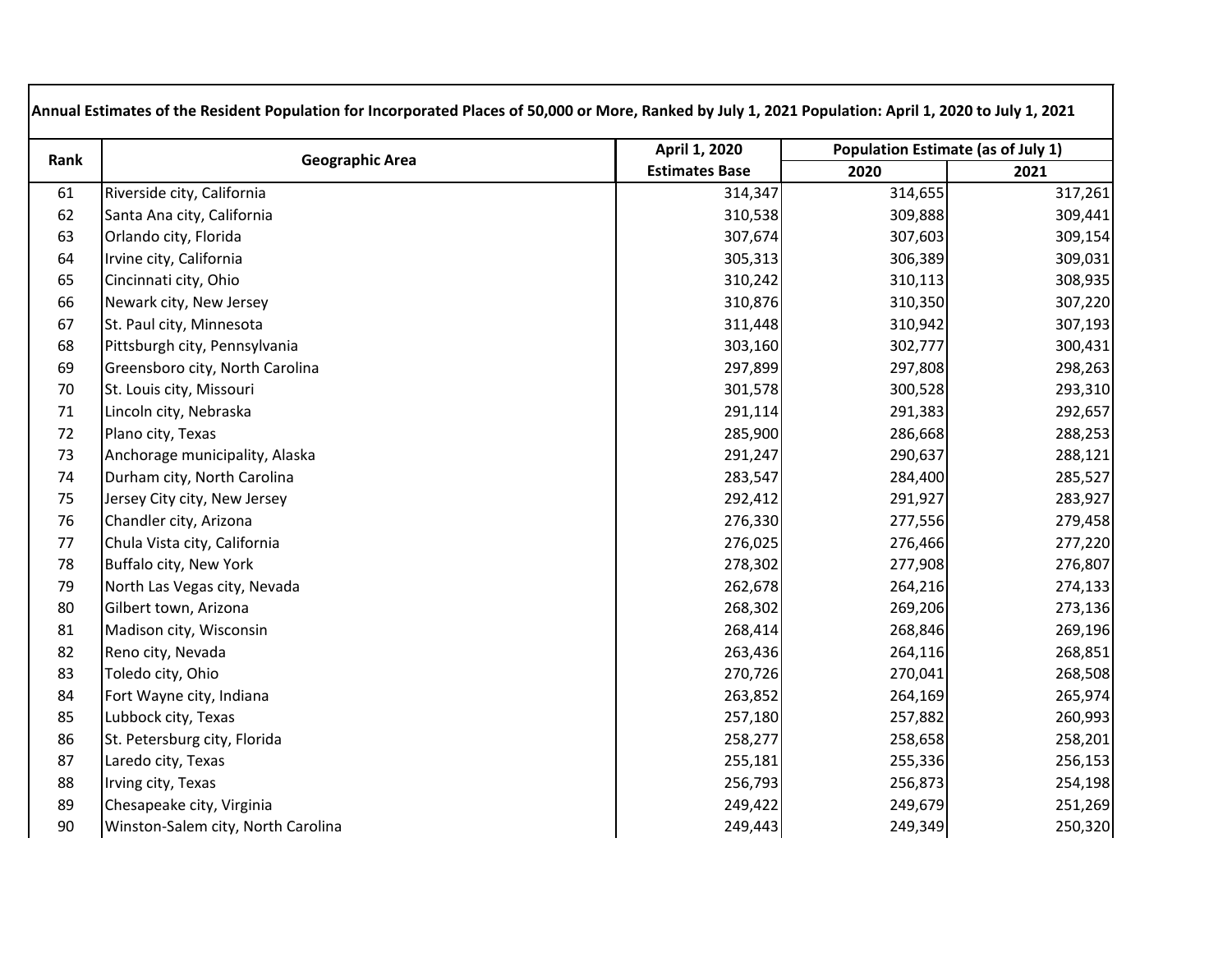| Rank | <b>Geographic Area</b>             | April 1, 2020         | <b>Population Estimate (as of July 1)</b> |         |
|------|------------------------------------|-----------------------|-------------------------------------------|---------|
|      |                                    | <b>Estimates Base</b> | 2020                                      | 2021    |
| 61   | Riverside city, California         | 314,347               | 314,655                                   | 317,261 |
| 62   | Santa Ana city, California         | 310,538               | 309,888                                   | 309,441 |
| 63   | Orlando city, Florida              | 307,674               | 307,603                                   | 309,154 |
| 64   | Irvine city, California            | 305,313               | 306,389                                   | 309,031 |
| 65   | Cincinnati city, Ohio              | 310,242               | 310,113                                   | 308,935 |
| 66   | Newark city, New Jersey            | 310,876               | 310,350                                   | 307,220 |
| 67   | St. Paul city, Minnesota           | 311,448               | 310,942                                   | 307,193 |
| 68   | Pittsburgh city, Pennsylvania      | 303,160               | 302,777                                   | 300,431 |
| 69   | Greensboro city, North Carolina    | 297,899               | 297,808                                   | 298,263 |
| 70   | St. Louis city, Missouri           | 301,578               | 300,528                                   | 293,310 |
| 71   | Lincoln city, Nebraska             | 291,114               | 291,383                                   | 292,657 |
| 72   | Plano city, Texas                  | 285,900               | 286,668                                   | 288,253 |
| 73   | Anchorage municipality, Alaska     | 291,247               | 290,637                                   | 288,121 |
| 74   | Durham city, North Carolina        | 283,547               | 284,400                                   | 285,527 |
| 75   | Jersey City city, New Jersey       | 292,412               | 291,927                                   | 283,927 |
| 76   | Chandler city, Arizona             | 276,330               | 277,556                                   | 279,458 |
| 77   | Chula Vista city, California       | 276,025               | 276,466                                   | 277,220 |
| 78   | Buffalo city, New York             | 278,302               | 277,908                                   | 276,807 |
| 79   | North Las Vegas city, Nevada       | 262,678               | 264,216                                   | 274,133 |
| 80   | Gilbert town, Arizona              | 268,302               | 269,206                                   | 273,136 |
| 81   | Madison city, Wisconsin            | 268,414               | 268,846                                   | 269,196 |
| 82   | Reno city, Nevada                  | 263,436               | 264,116                                   | 268,851 |
| 83   | Toledo city, Ohio                  | 270,726               | 270,041                                   | 268,508 |
| 84   | Fort Wayne city, Indiana           | 263,852               | 264,169                                   | 265,974 |
| 85   | Lubbock city, Texas                | 257,180               | 257,882                                   | 260,993 |
| 86   | St. Petersburg city, Florida       | 258,277               | 258,658                                   | 258,201 |
| 87   | Laredo city, Texas                 | 255,181               | 255,336                                   | 256,153 |
| 88   | Irving city, Texas                 | 256,793               | 256,873                                   | 254,198 |
| 89   | Chesapeake city, Virginia          | 249,422               | 249,679                                   | 251,269 |
| 90   | Winston-Salem city, North Carolina | 249,443               | 249,349                                   | 250,320 |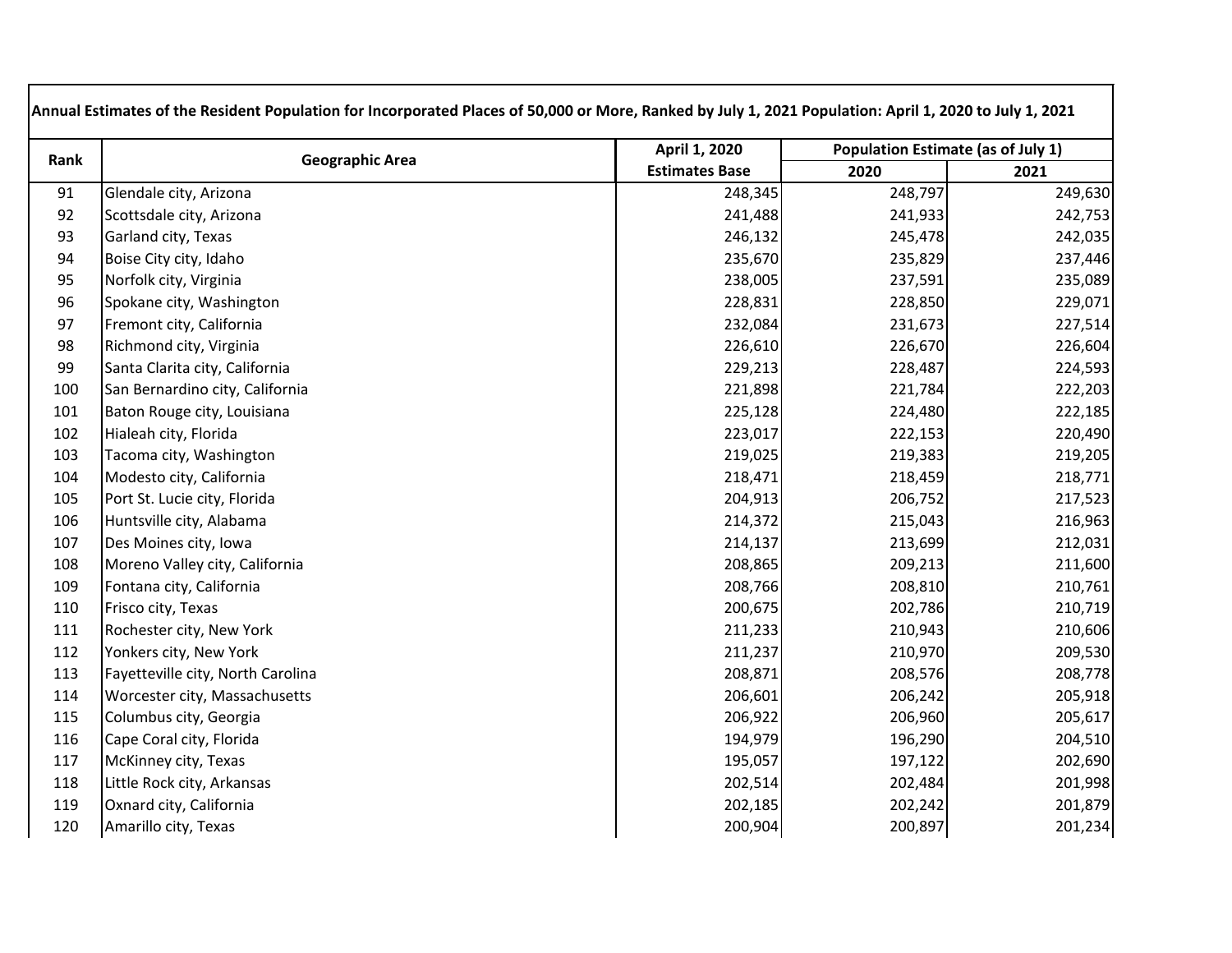| Rank | <b>Geographic Area</b>            | April 1, 2020         | Population Estimate (as of July 1) |         |
|------|-----------------------------------|-----------------------|------------------------------------|---------|
|      |                                   | <b>Estimates Base</b> | 2020                               | 2021    |
| 91   | Glendale city, Arizona            | 248,345               | 248,797                            | 249,630 |
| 92   | Scottsdale city, Arizona          | 241,488               | 241,933                            | 242,753 |
| 93   | Garland city, Texas               | 246,132               | 245,478                            | 242,035 |
| 94   | Boise City city, Idaho            | 235,670               | 235,829                            | 237,446 |
| 95   | Norfolk city, Virginia            | 238,005               | 237,591                            | 235,089 |
| 96   | Spokane city, Washington          | 228,831               | 228,850                            | 229,071 |
| 97   | Fremont city, California          | 232,084               | 231,673                            | 227,514 |
| 98   | Richmond city, Virginia           | 226,610               | 226,670                            | 226,604 |
| 99   | Santa Clarita city, California    | 229,213               | 228,487                            | 224,593 |
| 100  | San Bernardino city, California   | 221,898               | 221,784                            | 222,203 |
| 101  | Baton Rouge city, Louisiana       | 225,128               | 224,480                            | 222,185 |
| 102  | Hialeah city, Florida             | 223,017               | 222,153                            | 220,490 |
| 103  | Tacoma city, Washington           | 219,025               | 219,383                            | 219,205 |
| 104  | Modesto city, California          | 218,471               | 218,459                            | 218,771 |
| 105  | Port St. Lucie city, Florida      | 204,913               | 206,752                            | 217,523 |
| 106  | Huntsville city, Alabama          | 214,372               | 215,043                            | 216,963 |
| 107  | Des Moines city, Iowa             | 214,137               | 213,699                            | 212,031 |
| 108  | Moreno Valley city, California    | 208,865               | 209,213                            | 211,600 |
| 109  | Fontana city, California          | 208,766               | 208,810                            | 210,761 |
| 110  | Frisco city, Texas                | 200,675               | 202,786                            | 210,719 |
| 111  | Rochester city, New York          | 211,233               | 210,943                            | 210,606 |
| 112  | Yonkers city, New York            | 211,237               | 210,970                            | 209,530 |
| 113  | Fayetteville city, North Carolina | 208,871               | 208,576                            | 208,778 |
| 114  | Worcester city, Massachusetts     | 206,601               | 206,242                            | 205,918 |
| 115  | Columbus city, Georgia            | 206,922               | 206,960                            | 205,617 |
| 116  | Cape Coral city, Florida          | 194,979               | 196,290                            | 204,510 |
| 117  | McKinney city, Texas              | 195,057               | 197,122                            | 202,690 |
| 118  | Little Rock city, Arkansas        | 202,514               | 202,484                            | 201,998 |
| 119  | Oxnard city, California           | 202,185               | 202,242                            | 201,879 |
| 120  | Amarillo city, Texas              | 200,904               | 200,897                            | 201,234 |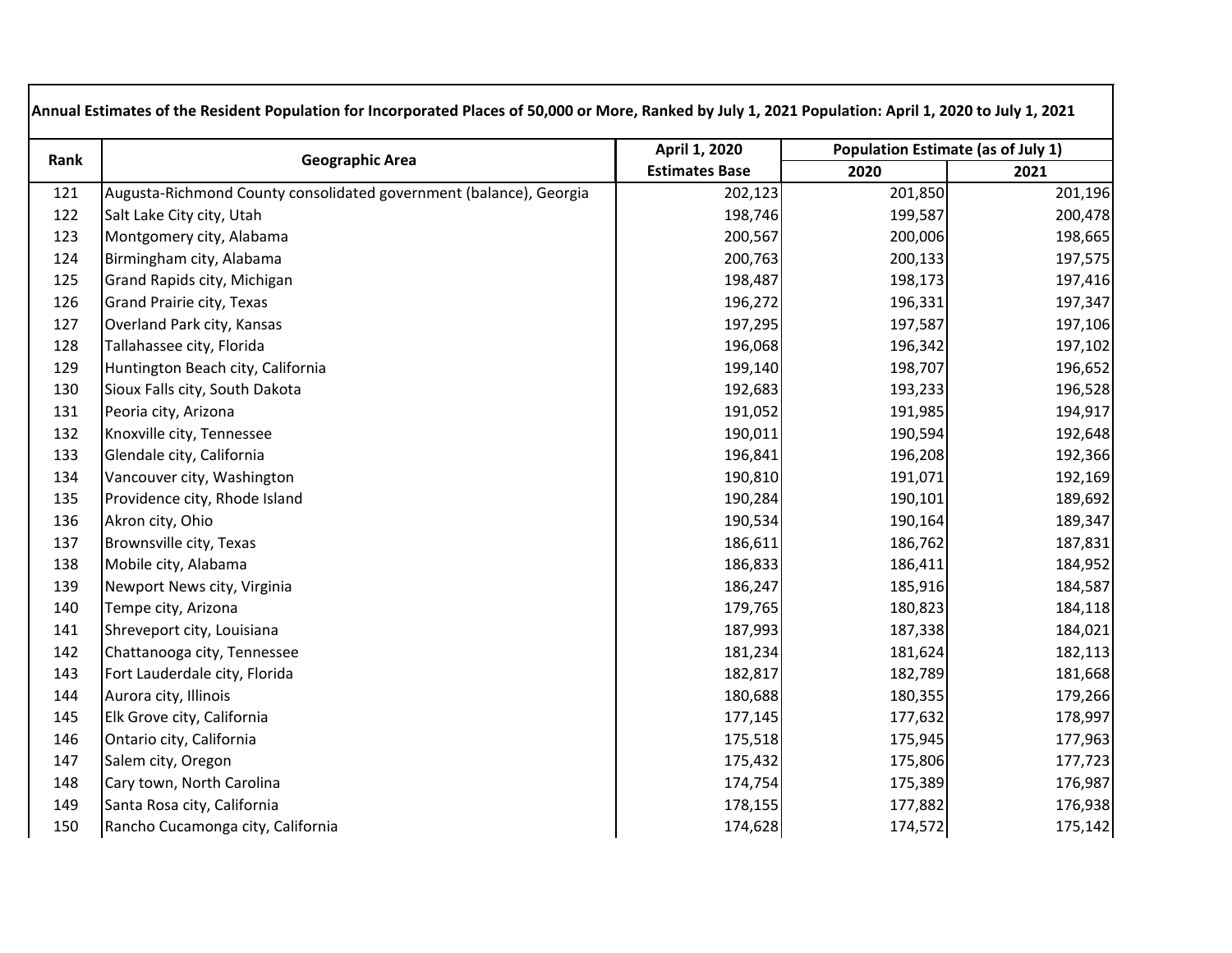| Rank | <b>Geographic Area</b>                                             | April 1, 2020         | Population Estimate (as of July 1) |         |
|------|--------------------------------------------------------------------|-----------------------|------------------------------------|---------|
|      |                                                                    | <b>Estimates Base</b> | 2020                               | 2021    |
| 121  | Augusta-Richmond County consolidated government (balance), Georgia | 202,123               | 201,850                            | 201,196 |
| 122  | Salt Lake City city, Utah                                          | 198,746               | 199,587                            | 200,478 |
| 123  | Montgomery city, Alabama                                           | 200,567               | 200,006                            | 198,665 |
| 124  | Birmingham city, Alabama                                           | 200,763               | 200,133                            | 197,575 |
| 125  | Grand Rapids city, Michigan                                        | 198,487               | 198,173                            | 197,416 |
| 126  | Grand Prairie city, Texas                                          | 196,272               | 196,331                            | 197,347 |
| 127  | Overland Park city, Kansas                                         | 197,295               | 197,587                            | 197,106 |
| 128  | Tallahassee city, Florida                                          | 196,068               | 196,342                            | 197,102 |
| 129  | Huntington Beach city, California                                  | 199,140               | 198,707                            | 196,652 |
| 130  | Sioux Falls city, South Dakota                                     | 192,683               | 193,233                            | 196,528 |
| 131  | Peoria city, Arizona                                               | 191,052               | 191,985                            | 194,917 |
| 132  | Knoxville city, Tennessee                                          | 190,011               | 190,594                            | 192,648 |
| 133  | Glendale city, California                                          | 196,841               | 196,208                            | 192,366 |
| 134  | Vancouver city, Washington                                         | 190,810               | 191,071                            | 192,169 |
| 135  | Providence city, Rhode Island                                      | 190,284               | 190,101                            | 189,692 |
| 136  | Akron city, Ohio                                                   | 190,534               | 190,164                            | 189,347 |
| 137  | Brownsville city, Texas                                            | 186,611               | 186,762                            | 187,831 |
| 138  | Mobile city, Alabama                                               | 186,833               | 186,411                            | 184,952 |
| 139  | Newport News city, Virginia                                        | 186,247               | 185,916                            | 184,587 |
| 140  | Tempe city, Arizona                                                | 179,765               | 180,823                            | 184,118 |
| 141  | Shreveport city, Louisiana                                         | 187,993               | 187,338                            | 184,021 |
| 142  | Chattanooga city, Tennessee                                        | 181,234               | 181,624                            | 182,113 |
| 143  | Fort Lauderdale city, Florida                                      | 182,817               | 182,789                            | 181,668 |
| 144  | Aurora city, Illinois                                              | 180,688               | 180,355                            | 179,266 |
| 145  | Elk Grove city, California                                         | 177,145               | 177,632                            | 178,997 |
| 146  | Ontario city, California                                           | 175,518               | 175,945                            | 177,963 |
| 147  | Salem city, Oregon                                                 | 175,432               | 175,806                            | 177,723 |
| 148  | Cary town, North Carolina                                          | 174,754               | 175,389                            | 176,987 |
| 149  | Santa Rosa city, California                                        | 178,155               | 177,882                            | 176,938 |
| 150  | Rancho Cucamonga city, California                                  | 174,628               | 174,572                            | 175,142 |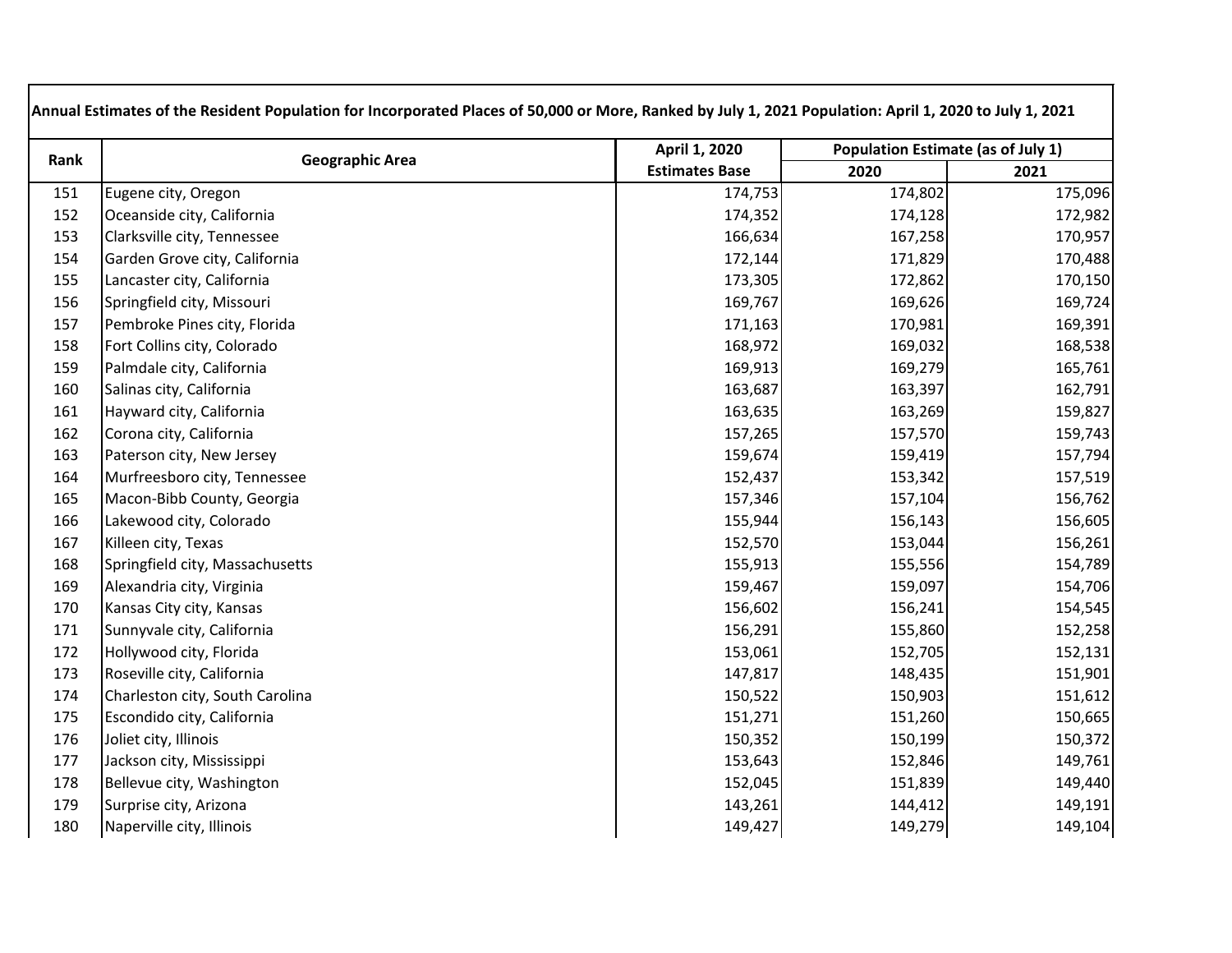| Rank | <b>Geographic Area</b>          | April 1, 2020         | <b>Population Estimate (as of July 1)</b> |         |
|------|---------------------------------|-----------------------|-------------------------------------------|---------|
|      |                                 | <b>Estimates Base</b> | 2020                                      | 2021    |
| 151  | Eugene city, Oregon             | 174,753               | 174,802                                   | 175,096 |
| 152  | Oceanside city, California      | 174,352               | 174,128                                   | 172,982 |
| 153  | Clarksville city, Tennessee     | 166,634               | 167,258                                   | 170,957 |
| 154  | Garden Grove city, California   | 172,144               | 171,829                                   | 170,488 |
| 155  | Lancaster city, California      | 173,305               | 172,862                                   | 170,150 |
| 156  | Springfield city, Missouri      | 169,767               | 169,626                                   | 169,724 |
| 157  | Pembroke Pines city, Florida    | 171,163               | 170,981                                   | 169,391 |
| 158  | Fort Collins city, Colorado     | 168,972               | 169,032                                   | 168,538 |
| 159  | Palmdale city, California       | 169,913               | 169,279                                   | 165,761 |
| 160  | Salinas city, California        | 163,687               | 163,397                                   | 162,791 |
| 161  | Hayward city, California        | 163,635               | 163,269                                   | 159,827 |
| 162  | Corona city, California         | 157,265               | 157,570                                   | 159,743 |
| 163  | Paterson city, New Jersey       | 159,674               | 159,419                                   | 157,794 |
| 164  | Murfreesboro city, Tennessee    | 152,437               | 153,342                                   | 157,519 |
| 165  | Macon-Bibb County, Georgia      | 157,346               | 157,104                                   | 156,762 |
| 166  | Lakewood city, Colorado         | 155,944               | 156,143                                   | 156,605 |
| 167  | Killeen city, Texas             | 152,570               | 153,044                                   | 156,261 |
| 168  | Springfield city, Massachusetts | 155,913               | 155,556                                   | 154,789 |
| 169  | Alexandria city, Virginia       | 159,467               | 159,097                                   | 154,706 |
| 170  | Kansas City city, Kansas        | 156,602               | 156,241                                   | 154,545 |
| 171  | Sunnyvale city, California      | 156,291               | 155,860                                   | 152,258 |
| 172  | Hollywood city, Florida         | 153,061               | 152,705                                   | 152,131 |
| 173  | Roseville city, California      | 147,817               | 148,435                                   | 151,901 |
| 174  | Charleston city, South Carolina | 150,522               | 150,903                                   | 151,612 |
| 175  | Escondido city, California      | 151,271               | 151,260                                   | 150,665 |
| 176  | Joliet city, Illinois           | 150,352               | 150,199                                   | 150,372 |
| 177  | Jackson city, Mississippi       | 153,643               | 152,846                                   | 149,761 |
| 178  | Bellevue city, Washington       | 152,045               | 151,839                                   | 149,440 |
| 179  | Surprise city, Arizona          | 143,261               | 144,412                                   | 149,191 |
| 180  | Naperville city, Illinois       | 149,427               | 149,279                                   | 149,104 |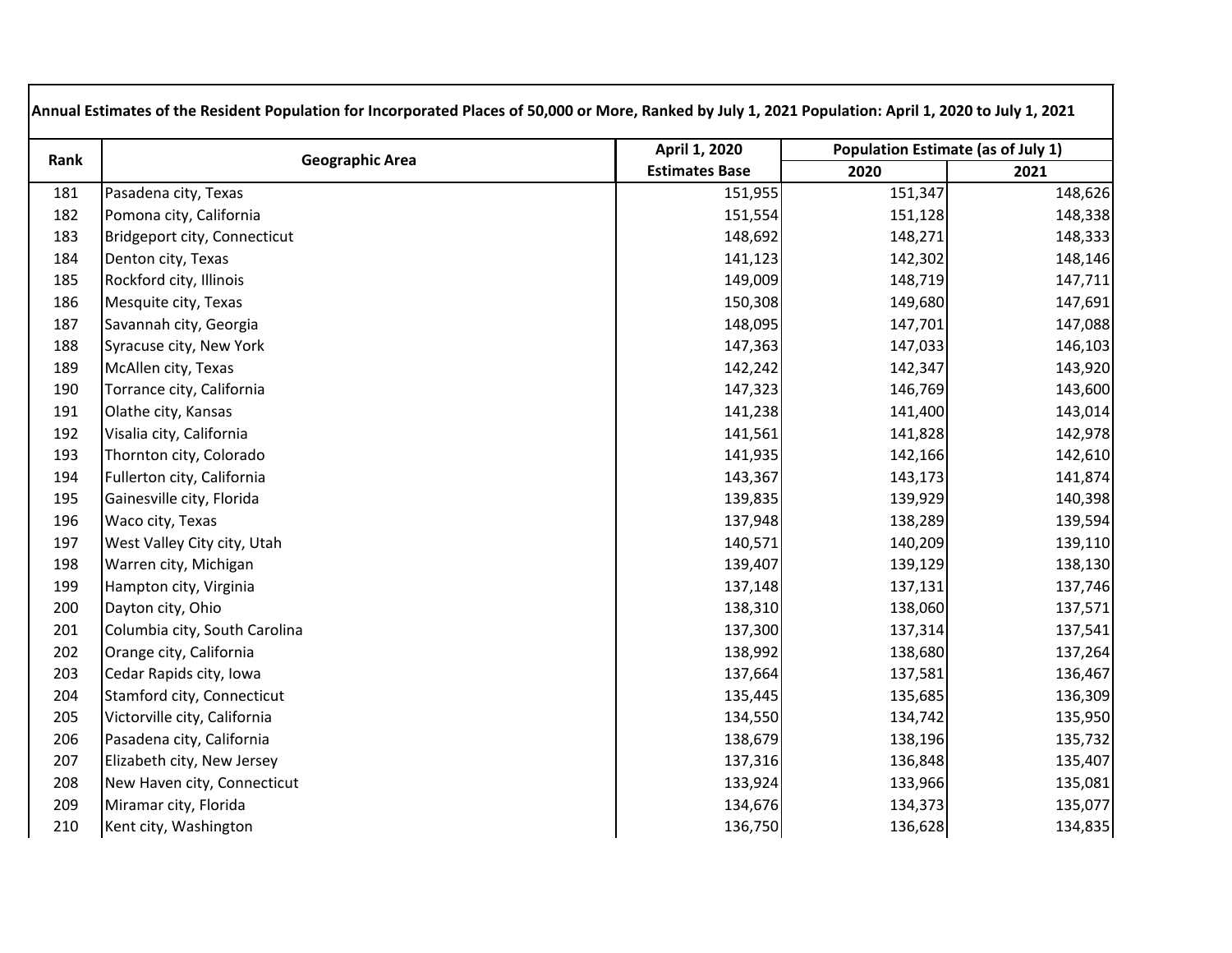| Rank | <b>Geographic Area</b>        | April 1, 2020         | Population Estimate (as of July 1) |         |
|------|-------------------------------|-----------------------|------------------------------------|---------|
|      |                               | <b>Estimates Base</b> | 2020                               | 2021    |
| 181  | Pasadena city, Texas          | 151,955               | 151,347                            | 148,626 |
| 182  | Pomona city, California       | 151,554               | 151,128                            | 148,338 |
| 183  | Bridgeport city, Connecticut  | 148,692               | 148,271                            | 148,333 |
| 184  | Denton city, Texas            | 141,123               | 142,302                            | 148,146 |
| 185  | Rockford city, Illinois       | 149,009               | 148,719                            | 147,711 |
| 186  | Mesquite city, Texas          | 150,308               | 149,680                            | 147,691 |
| 187  | Savannah city, Georgia        | 148,095               | 147,701                            | 147,088 |
| 188  | Syracuse city, New York       | 147,363               | 147,033                            | 146,103 |
| 189  | McAllen city, Texas           | 142,242               | 142,347                            | 143,920 |
| 190  | Torrance city, California     | 147,323               | 146,769                            | 143,600 |
| 191  | Olathe city, Kansas           | 141,238               | 141,400                            | 143,014 |
| 192  | Visalia city, California      | 141,561               | 141,828                            | 142,978 |
| 193  | Thornton city, Colorado       | 141,935               | 142,166                            | 142,610 |
| 194  | Fullerton city, California    | 143,367               | 143,173                            | 141,874 |
| 195  | Gainesville city, Florida     | 139,835               | 139,929                            | 140,398 |
| 196  | Waco city, Texas              | 137,948               | 138,289                            | 139,594 |
| 197  | West Valley City city, Utah   | 140,571               | 140,209                            | 139,110 |
| 198  | Warren city, Michigan         | 139,407               | 139,129                            | 138,130 |
| 199  | Hampton city, Virginia        | 137,148               | 137,131                            | 137,746 |
| 200  | Dayton city, Ohio             | 138,310               | 138,060                            | 137,571 |
| 201  | Columbia city, South Carolina | 137,300               | 137,314                            | 137,541 |
| 202  | Orange city, California       | 138,992               | 138,680                            | 137,264 |
| 203  | Cedar Rapids city, Iowa       | 137,664               | 137,581                            | 136,467 |
| 204  | Stamford city, Connecticut    | 135,445               | 135,685                            | 136,309 |
| 205  | Victorville city, California  | 134,550               | 134,742                            | 135,950 |
| 206  | Pasadena city, California     | 138,679               | 138,196                            | 135,732 |
| 207  | Elizabeth city, New Jersey    | 137,316               | 136,848                            | 135,407 |
| 208  | New Haven city, Connecticut   | 133,924               | 133,966                            | 135,081 |
| 209  | Miramar city, Florida         | 134,676               | 134,373                            | 135,077 |
| 210  | Kent city, Washington         | 136,750               | 136,628                            | 134,835 |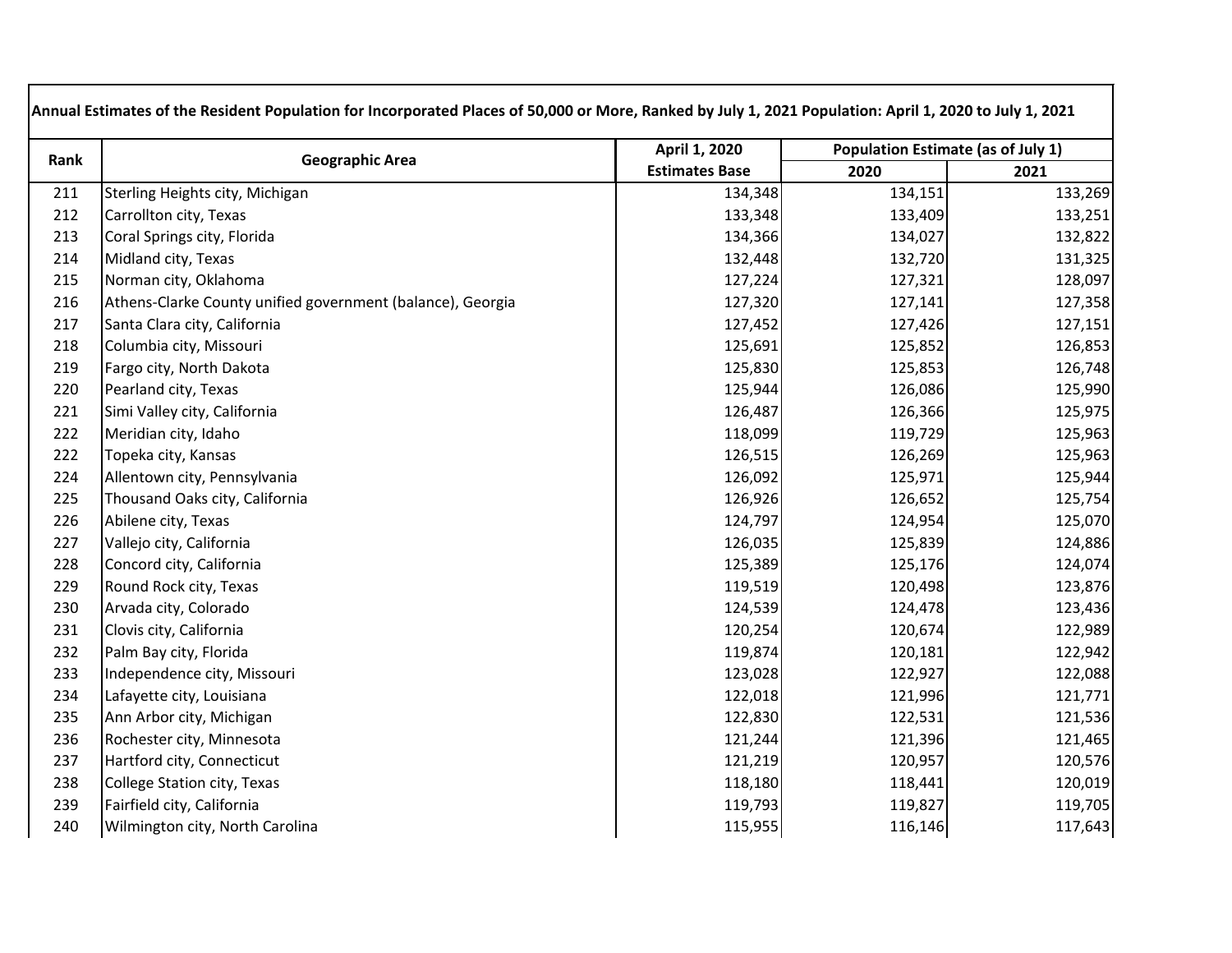| Rank | <b>Geographic Area</b>                                     | April 1, 2020         | Population Estimate (as of July 1) |         |
|------|------------------------------------------------------------|-----------------------|------------------------------------|---------|
|      |                                                            | <b>Estimates Base</b> | 2020                               | 2021    |
| 211  | Sterling Heights city, Michigan                            | 134,348               | 134,151                            | 133,269 |
| 212  | Carrollton city, Texas                                     | 133,348               | 133,409                            | 133,251 |
| 213  | Coral Springs city, Florida                                | 134,366               | 134,027                            | 132,822 |
| 214  | Midland city, Texas                                        | 132,448               | 132,720                            | 131,325 |
| 215  | Norman city, Oklahoma                                      | 127,224               | 127,321                            | 128,097 |
| 216  | Athens-Clarke County unified government (balance), Georgia | 127,320               | 127,141                            | 127,358 |
| 217  | Santa Clara city, California                               | 127,452               | 127,426                            | 127,151 |
| 218  | Columbia city, Missouri                                    | 125,691               | 125,852                            | 126,853 |
| 219  | Fargo city, North Dakota                                   | 125,830               | 125,853                            | 126,748 |
| 220  | Pearland city, Texas                                       | 125,944               | 126,086                            | 125,990 |
| 221  | Simi Valley city, California                               | 126,487               | 126,366                            | 125,975 |
| 222  | Meridian city, Idaho                                       | 118,099               | 119,729                            | 125,963 |
| 222  | Topeka city, Kansas                                        | 126,515               | 126,269                            | 125,963 |
| 224  | Allentown city, Pennsylvania                               | 126,092               | 125,971                            | 125,944 |
| 225  | Thousand Oaks city, California                             | 126,926               | 126,652                            | 125,754 |
| 226  | Abilene city, Texas                                        | 124,797               | 124,954                            | 125,070 |
| 227  | Vallejo city, California                                   | 126,035               | 125,839                            | 124,886 |
| 228  | Concord city, California                                   | 125,389               | 125,176                            | 124,074 |
| 229  | Round Rock city, Texas                                     | 119,519               | 120,498                            | 123,876 |
| 230  | Arvada city, Colorado                                      | 124,539               | 124,478                            | 123,436 |
| 231  | Clovis city, California                                    | 120,254               | 120,674                            | 122,989 |
| 232  | Palm Bay city, Florida                                     | 119,874               | 120,181                            | 122,942 |
| 233  | Independence city, Missouri                                | 123,028               | 122,927                            | 122,088 |
| 234  | Lafayette city, Louisiana                                  | 122,018               | 121,996                            | 121,771 |
| 235  | Ann Arbor city, Michigan                                   | 122,830               | 122,531                            | 121,536 |
| 236  | Rochester city, Minnesota                                  | 121,244               | 121,396                            | 121,465 |
| 237  | Hartford city, Connecticut                                 | 121,219               | 120,957                            | 120,576 |
| 238  | <b>College Station city, Texas</b>                         | 118,180               | 118,441                            | 120,019 |
| 239  | Fairfield city, California                                 | 119,793               | 119,827                            | 119,705 |
| 240  | Wilmington city, North Carolina                            | 115,955               | 116,146                            | 117,643 |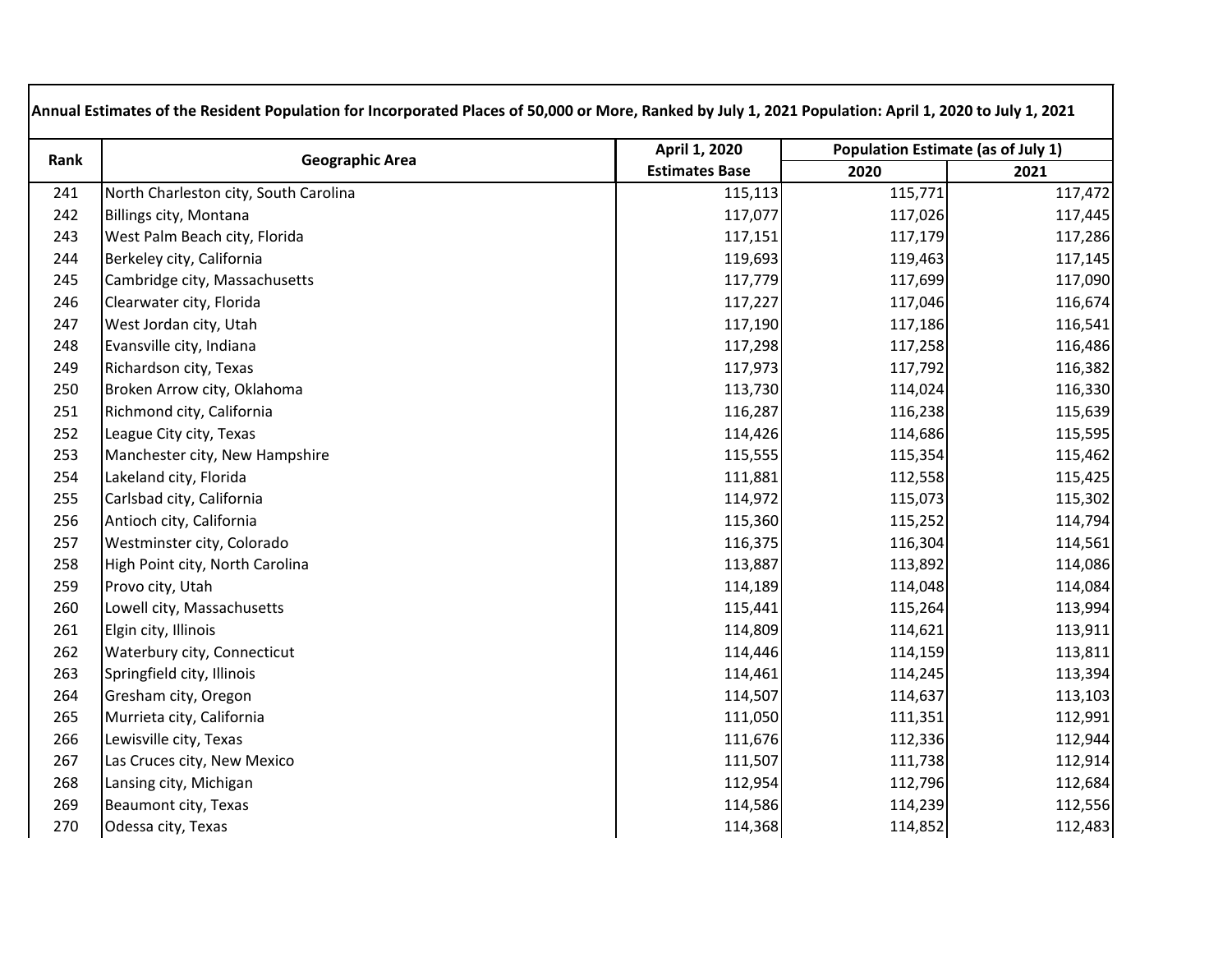| Rank | <b>Geographic Area</b>                | April 1, 2020         | <b>Population Estimate (as of July 1)</b> |         |
|------|---------------------------------------|-----------------------|-------------------------------------------|---------|
|      |                                       | <b>Estimates Base</b> | 2020                                      | 2021    |
| 241  | North Charleston city, South Carolina | 115,113               | 115,771                                   | 117,472 |
| 242  | Billings city, Montana                | 117,077               | 117,026                                   | 117,445 |
| 243  | West Palm Beach city, Florida         | 117,151               | 117,179                                   | 117,286 |
| 244  | Berkeley city, California             | 119,693               | 119,463                                   | 117,145 |
| 245  | Cambridge city, Massachusetts         | 117,779               | 117,699                                   | 117,090 |
| 246  | Clearwater city, Florida              | 117,227               | 117,046                                   | 116,674 |
| 247  | West Jordan city, Utah                | 117,190               | 117,186                                   | 116,541 |
| 248  | Evansville city, Indiana              | 117,298               | 117,258                                   | 116,486 |
| 249  | Richardson city, Texas                | 117,973               | 117,792                                   | 116,382 |
| 250  | Broken Arrow city, Oklahoma           | 113,730               | 114,024                                   | 116,330 |
| 251  | Richmond city, California             | 116,287               | 116,238                                   | 115,639 |
| 252  | League City city, Texas               | 114,426               | 114,686                                   | 115,595 |
| 253  | Manchester city, New Hampshire        | 115,555               | 115,354                                   | 115,462 |
| 254  | Lakeland city, Florida                | 111,881               | 112,558                                   | 115,425 |
| 255  | Carlsbad city, California             | 114,972               | 115,073                                   | 115,302 |
| 256  | Antioch city, California              | 115,360               | 115,252                                   | 114,794 |
| 257  | Westminster city, Colorado            | 116,375               | 116,304                                   | 114,561 |
| 258  | High Point city, North Carolina       | 113,887               | 113,892                                   | 114,086 |
| 259  | Provo city, Utah                      | 114,189               | 114,048                                   | 114,084 |
| 260  | Lowell city, Massachusetts            | 115,441               | 115,264                                   | 113,994 |
| 261  | Elgin city, Illinois                  | 114,809               | 114,621                                   | 113,911 |
| 262  | Waterbury city, Connecticut           | 114,446               | 114,159                                   | 113,811 |
| 263  | Springfield city, Illinois            | 114,461               | 114,245                                   | 113,394 |
| 264  | Gresham city, Oregon                  | 114,507               | 114,637                                   | 113,103 |
| 265  | Murrieta city, California             | 111,050               | 111,351                                   | 112,991 |
| 266  | Lewisville city, Texas                | 111,676               | 112,336                                   | 112,944 |
| 267  | Las Cruces city, New Mexico           | 111,507               | 111,738                                   | 112,914 |
| 268  | Lansing city, Michigan                | 112,954               | 112,796                                   | 112,684 |
| 269  | Beaumont city, Texas                  | 114,586               | 114,239                                   | 112,556 |
| 270  | Odessa city, Texas                    | 114,368               | 114,852                                   | 112,483 |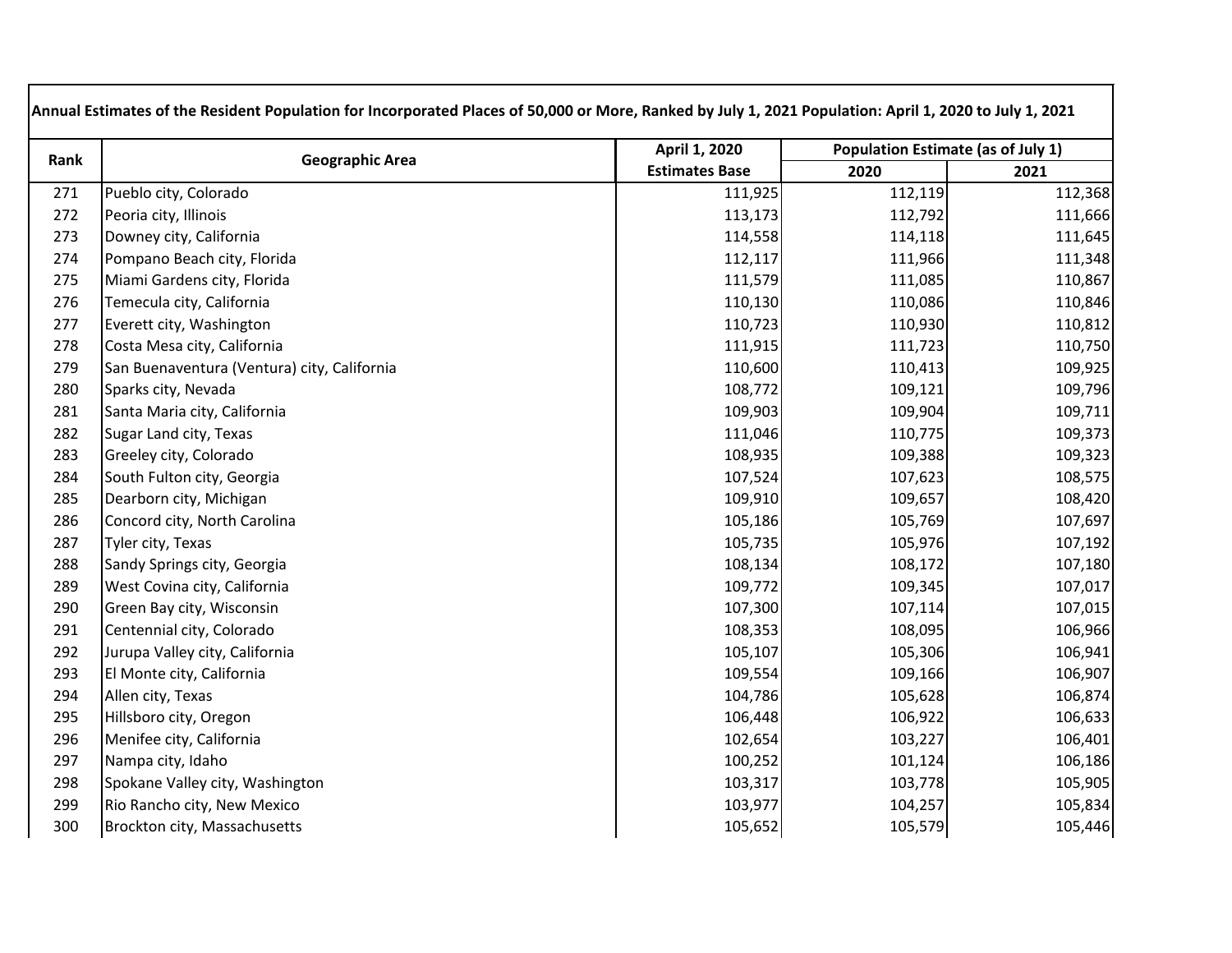| Rank | <b>Geographic Area</b>                      | April 1, 2020         | Population Estimate (as of July 1) |         |
|------|---------------------------------------------|-----------------------|------------------------------------|---------|
|      |                                             | <b>Estimates Base</b> | 2020                               | 2021    |
| 271  | Pueblo city, Colorado                       | 111,925               | 112,119                            | 112,368 |
| 272  | Peoria city, Illinois                       | 113,173               | 112,792                            | 111,666 |
| 273  | Downey city, California                     | 114,558               | 114,118                            | 111,645 |
| 274  | Pompano Beach city, Florida                 | 112,117               | 111,966                            | 111,348 |
| 275  | Miami Gardens city, Florida                 | 111,579               | 111,085                            | 110,867 |
| 276  | Temecula city, California                   | 110,130               | 110,086                            | 110,846 |
| 277  | Everett city, Washington                    | 110,723               | 110,930                            | 110,812 |
| 278  | Costa Mesa city, California                 | 111,915               | 111,723                            | 110,750 |
| 279  | San Buenaventura (Ventura) city, California | 110,600               | 110,413                            | 109,925 |
| 280  | Sparks city, Nevada                         | 108,772               | 109,121                            | 109,796 |
| 281  | Santa Maria city, California                | 109,903               | 109,904                            | 109,711 |
| 282  | Sugar Land city, Texas                      | 111,046               | 110,775                            | 109,373 |
| 283  | Greeley city, Colorado                      | 108,935               | 109,388                            | 109,323 |
| 284  | South Fulton city, Georgia                  | 107,524               | 107,623                            | 108,575 |
| 285  | Dearborn city, Michigan                     | 109,910               | 109,657                            | 108,420 |
| 286  | Concord city, North Carolina                | 105,186               | 105,769                            | 107,697 |
| 287  | Tyler city, Texas                           | 105,735               | 105,976                            | 107,192 |
| 288  | Sandy Springs city, Georgia                 | 108,134               | 108,172                            | 107,180 |
| 289  | West Covina city, California                | 109,772               | 109,345                            | 107,017 |
| 290  | Green Bay city, Wisconsin                   | 107,300               | 107,114                            | 107,015 |
| 291  | Centennial city, Colorado                   | 108,353               | 108,095                            | 106,966 |
| 292  | Jurupa Valley city, California              | 105,107               | 105,306                            | 106,941 |
| 293  | El Monte city, California                   | 109,554               | 109,166                            | 106,907 |
| 294  | Allen city, Texas                           | 104,786               | 105,628                            | 106,874 |
| 295  | Hillsboro city, Oregon                      | 106,448               | 106,922                            | 106,633 |
| 296  | Menifee city, California                    | 102,654               | 103,227                            | 106,401 |
| 297  | Nampa city, Idaho                           | 100,252               | 101,124                            | 106,186 |
| 298  | Spokane Valley city, Washington             | 103,317               | 103,778                            | 105,905 |
| 299  | Rio Rancho city, New Mexico                 | 103,977               | 104,257                            | 105,834 |
| 300  | Brockton city, Massachusetts                | 105,652               | 105,579                            | 105,446 |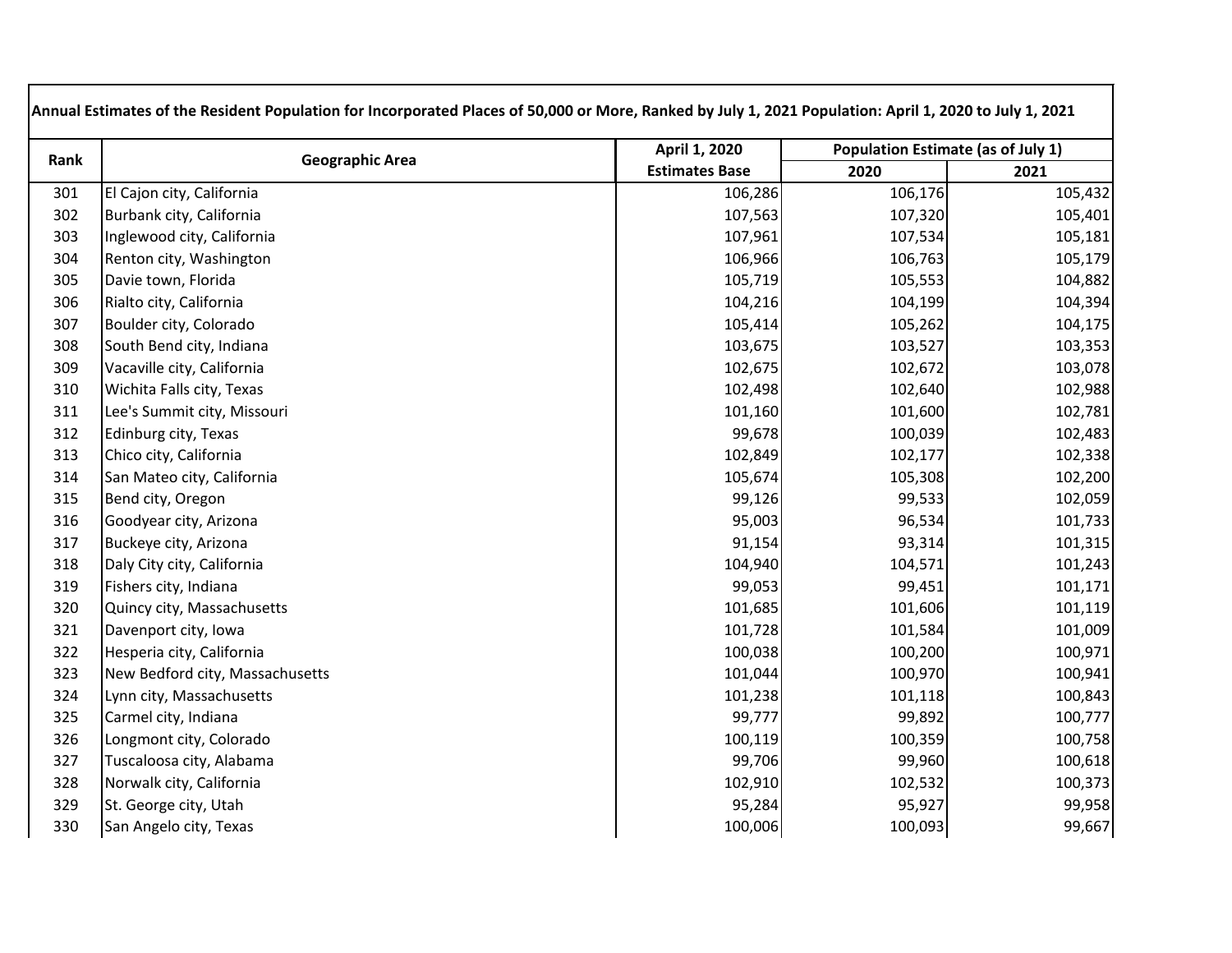| Rank | <b>Geographic Area</b>          | April 1, 2020         | Population Estimate (as of July 1) |         |
|------|---------------------------------|-----------------------|------------------------------------|---------|
|      |                                 | <b>Estimates Base</b> | 2020                               | 2021    |
| 301  | El Cajon city, California       | 106,286               | 106,176                            | 105,432 |
| 302  | Burbank city, California        | 107,563               | 107,320                            | 105,401 |
| 303  | Inglewood city, California      | 107,961               | 107,534                            | 105,181 |
| 304  | Renton city, Washington         | 106,966               | 106,763                            | 105,179 |
| 305  | Davie town, Florida             | 105,719               | 105,553                            | 104,882 |
| 306  | Rialto city, California         | 104,216               | 104,199                            | 104,394 |
| 307  | Boulder city, Colorado          | 105,414               | 105,262                            | 104,175 |
| 308  | South Bend city, Indiana        | 103,675               | 103,527                            | 103,353 |
| 309  | Vacaville city, California      | 102,675               | 102,672                            | 103,078 |
| 310  | Wichita Falls city, Texas       | 102,498               | 102,640                            | 102,988 |
| 311  | Lee's Summit city, Missouri     | 101,160               | 101,600                            | 102,781 |
| 312  | Edinburg city, Texas            | 99,678                | 100,039                            | 102,483 |
| 313  | Chico city, California          | 102,849               | 102,177                            | 102,338 |
| 314  | San Mateo city, California      | 105,674               | 105,308                            | 102,200 |
| 315  | Bend city, Oregon               | 99,126                | 99,533                             | 102,059 |
| 316  | Goodyear city, Arizona          | 95,003                | 96,534                             | 101,733 |
| 317  | Buckeye city, Arizona           | 91,154                | 93,314                             | 101,315 |
| 318  | Daly City city, California      | 104,940               | 104,571                            | 101,243 |
| 319  | Fishers city, Indiana           | 99,053                | 99,451                             | 101,171 |
| 320  | Quincy city, Massachusetts      | 101,685               | 101,606                            | 101,119 |
| 321  | Davenport city, Iowa            | 101,728               | 101,584                            | 101,009 |
| 322  | Hesperia city, California       | 100,038               | 100,200                            | 100,971 |
| 323  | New Bedford city, Massachusetts | 101,044               | 100,970                            | 100,941 |
| 324  | Lynn city, Massachusetts        | 101,238               | 101,118                            | 100,843 |
| 325  | Carmel city, Indiana            | 99,777                | 99,892                             | 100,777 |
| 326  | Longmont city, Colorado         | 100,119               | 100,359                            | 100,758 |
| 327  | Tuscaloosa city, Alabama        | 99,706                | 99,960                             | 100,618 |
| 328  | Norwalk city, California        | 102,910               | 102,532                            | 100,373 |
| 329  | St. George city, Utah           | 95,284                | 95,927                             | 99,958  |
| 330  | San Angelo city, Texas          | 100,006               | 100,093                            | 99,667  |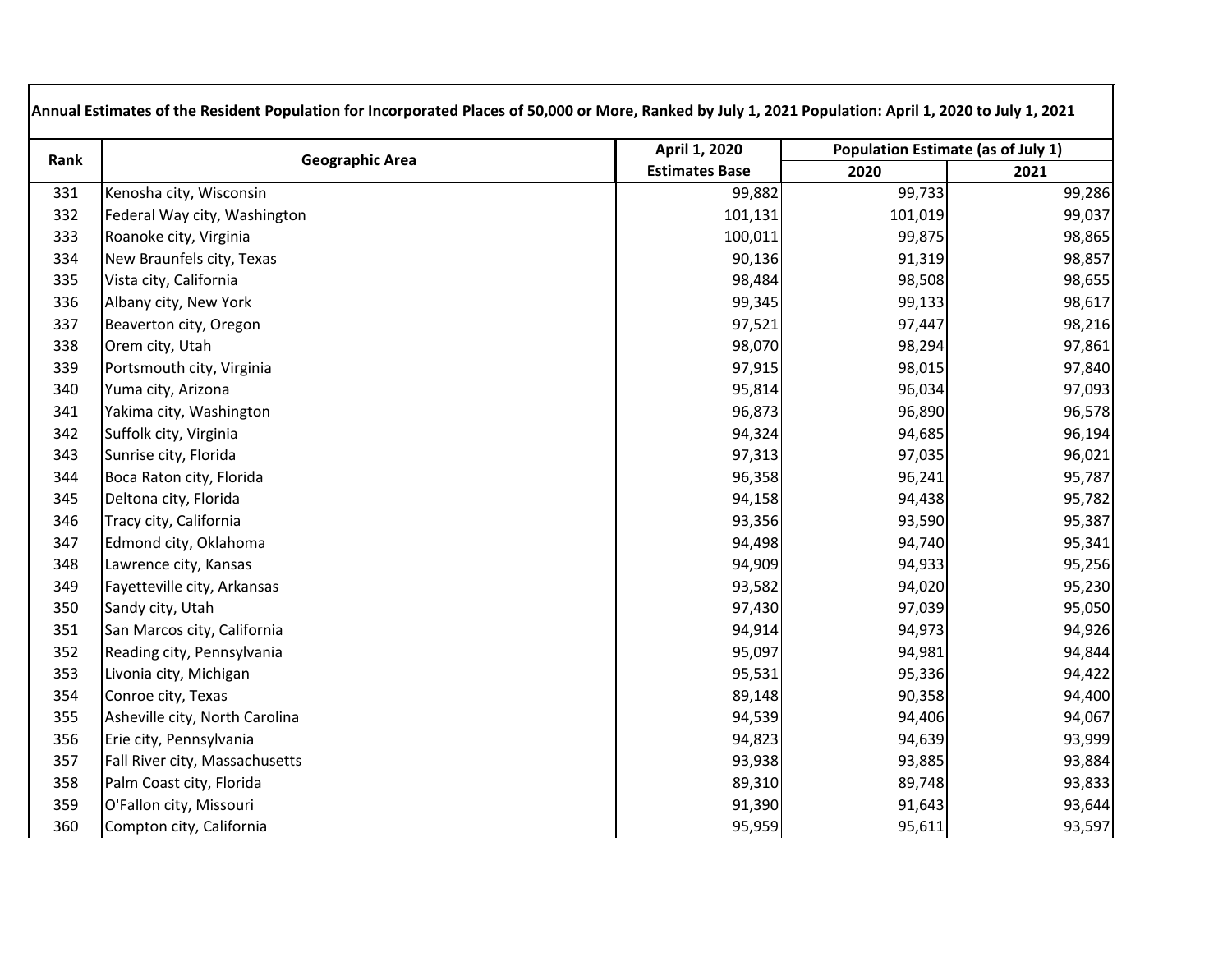| Rank | <b>Geographic Area</b>         | April 1, 2020         | Population Estimate (as of July 1) |        |
|------|--------------------------------|-----------------------|------------------------------------|--------|
|      |                                | <b>Estimates Base</b> | 2020                               | 2021   |
| 331  | Kenosha city, Wisconsin        | 99,882                | 99,733                             | 99,286 |
| 332  | Federal Way city, Washington   | 101,131               | 101,019                            | 99,037 |
| 333  | Roanoke city, Virginia         | 100,011               | 99,875                             | 98,865 |
| 334  | New Braunfels city, Texas      | 90,136                | 91,319                             | 98,857 |
| 335  | Vista city, California         | 98,484                | 98,508                             | 98,655 |
| 336  | Albany city, New York          | 99,345                | 99,133                             | 98,617 |
| 337  | Beaverton city, Oregon         | 97,521                | 97,447                             | 98,216 |
| 338  | Orem city, Utah                | 98,070                | 98,294                             | 97,861 |
| 339  | Portsmouth city, Virginia      | 97,915                | 98,015                             | 97,840 |
| 340  | Yuma city, Arizona             | 95,814                | 96,034                             | 97,093 |
| 341  | Yakima city, Washington        | 96,873                | 96,890                             | 96,578 |
| 342  | Suffolk city, Virginia         | 94,324                | 94,685                             | 96,194 |
| 343  | Sunrise city, Florida          | 97,313                | 97,035                             | 96,021 |
| 344  | Boca Raton city, Florida       | 96,358                | 96,241                             | 95,787 |
| 345  | Deltona city, Florida          | 94,158                | 94,438                             | 95,782 |
| 346  | Tracy city, California         | 93,356                | 93,590                             | 95,387 |
| 347  | Edmond city, Oklahoma          | 94,498                | 94,740                             | 95,341 |
| 348  | Lawrence city, Kansas          | 94,909                | 94,933                             | 95,256 |
| 349  | Fayetteville city, Arkansas    | 93,582                | 94,020                             | 95,230 |
| 350  | Sandy city, Utah               | 97,430                | 97,039                             | 95,050 |
| 351  | San Marcos city, California    | 94,914                | 94,973                             | 94,926 |
| 352  | Reading city, Pennsylvania     | 95,097                | 94,981                             | 94,844 |
| 353  | Livonia city, Michigan         | 95,531                | 95,336                             | 94,422 |
| 354  | Conroe city, Texas             | 89,148                | 90,358                             | 94,400 |
| 355  | Asheville city, North Carolina | 94,539                | 94,406                             | 94,067 |
| 356  | Erie city, Pennsylvania        | 94,823                | 94,639                             | 93,999 |
| 357  | Fall River city, Massachusetts | 93,938                | 93,885                             | 93,884 |
| 358  | Palm Coast city, Florida       | 89,310                | 89,748                             | 93,833 |
| 359  | O'Fallon city, Missouri        | 91,390                | 91,643                             | 93,644 |
| 360  | Compton city, California       | 95,959                | 95,611                             | 93,597 |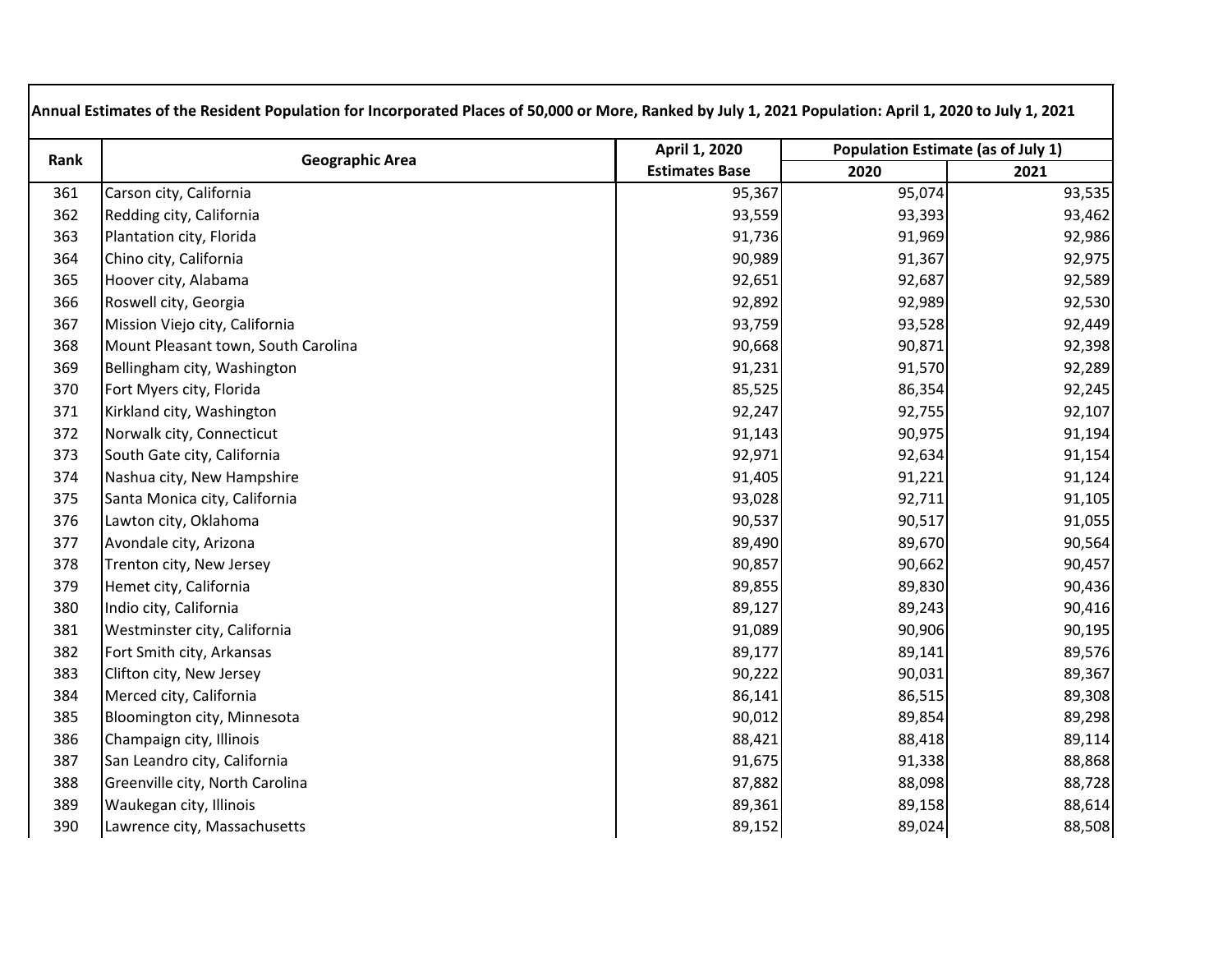| Rank | <b>Geographic Area</b>              | April 1, 2020         | Population Estimate (as of July 1) |        |
|------|-------------------------------------|-----------------------|------------------------------------|--------|
|      |                                     | <b>Estimates Base</b> | 2020                               | 2021   |
| 361  | Carson city, California             | 95,367                | 95,074                             | 93,535 |
| 362  | Redding city, California            | 93,559                | 93,393                             | 93,462 |
| 363  | Plantation city, Florida            | 91,736                | 91,969                             | 92,986 |
| 364  | Chino city, California              | 90,989                | 91,367                             | 92,975 |
| 365  | Hoover city, Alabama                | 92,651                | 92,687                             | 92,589 |
| 366  | Roswell city, Georgia               | 92,892                | 92,989                             | 92,530 |
| 367  | Mission Viejo city, California      | 93,759                | 93,528                             | 92,449 |
| 368  | Mount Pleasant town, South Carolina | 90,668                | 90,871                             | 92,398 |
| 369  | Bellingham city, Washington         | 91,231                | 91,570                             | 92,289 |
| 370  | Fort Myers city, Florida            | 85,525                | 86,354                             | 92,245 |
| 371  | Kirkland city, Washington           | 92,247                | 92,755                             | 92,107 |
| 372  | Norwalk city, Connecticut           | 91,143                | 90,975                             | 91,194 |
| 373  | South Gate city, California         | 92,971                | 92,634                             | 91,154 |
| 374  | Nashua city, New Hampshire          | 91,405                | 91,221                             | 91,124 |
| 375  | Santa Monica city, California       | 93,028                | 92,711                             | 91,105 |
| 376  | Lawton city, Oklahoma               | 90,537                | 90,517                             | 91,055 |
| 377  | Avondale city, Arizona              | 89,490                | 89,670                             | 90,564 |
| 378  | Trenton city, New Jersey            | 90,857                | 90,662                             | 90,457 |
| 379  | Hemet city, California              | 89,855                | 89,830                             | 90,436 |
| 380  | Indio city, California              | 89,127                | 89,243                             | 90,416 |
| 381  | Westminster city, California        | 91,089                | 90,906                             | 90,195 |
| 382  | Fort Smith city, Arkansas           | 89,177                | 89,141                             | 89,576 |
| 383  | Clifton city, New Jersey            | 90,222                | 90,031                             | 89,367 |
| 384  | Merced city, California             | 86,141                | 86,515                             | 89,308 |
| 385  | Bloomington city, Minnesota         | 90,012                | 89,854                             | 89,298 |
| 386  | Champaign city, Illinois            | 88,421                | 88,418                             | 89,114 |
| 387  | San Leandro city, California        | 91,675                | 91,338                             | 88,868 |
| 388  | Greenville city, North Carolina     | 87,882                | 88,098                             | 88,728 |
| 389  | Waukegan city, Illinois             | 89,361                | 89,158                             | 88,614 |
| 390  | Lawrence city, Massachusetts        | 89,152                | 89,024                             | 88,508 |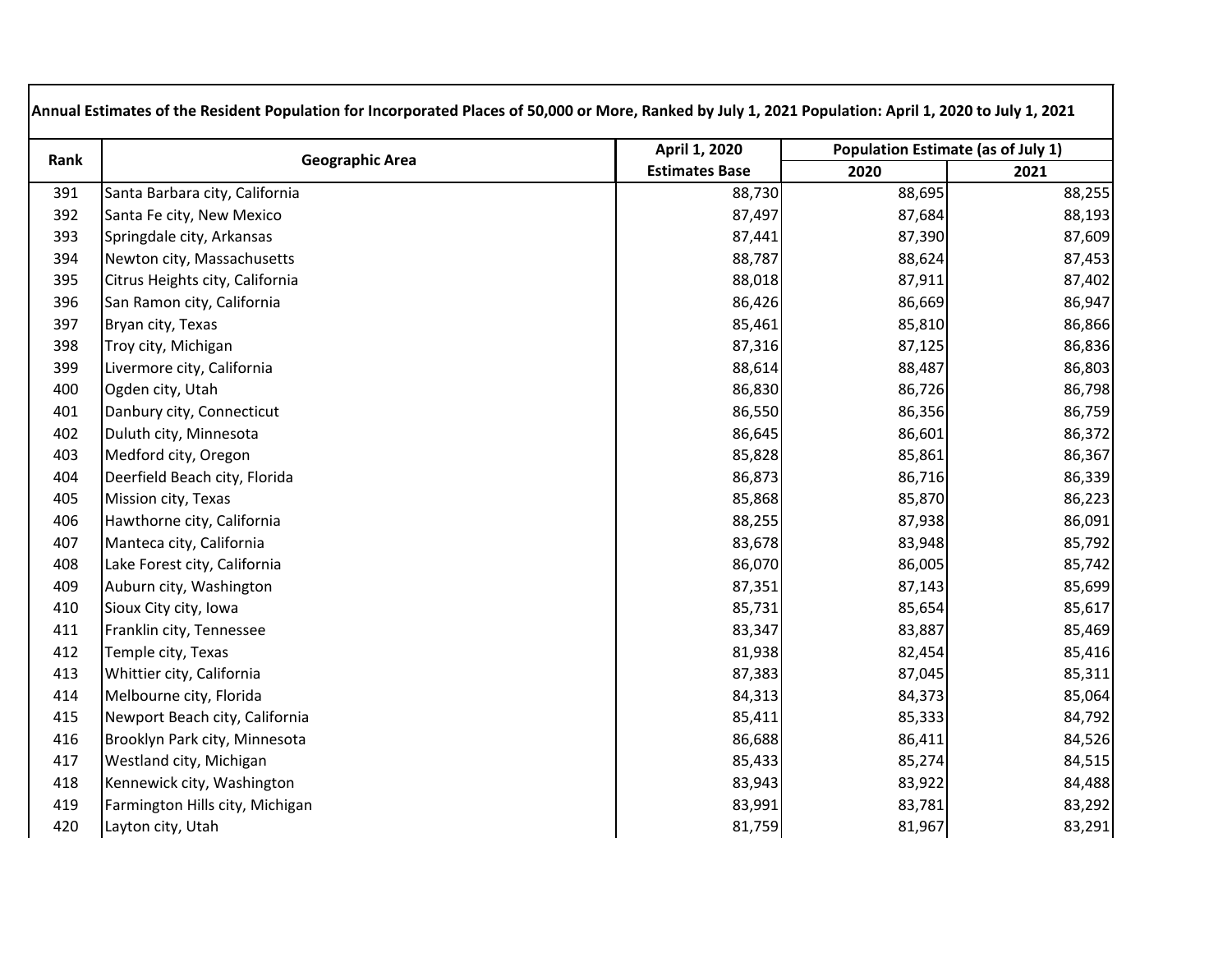| Rank | <b>Geographic Area</b>          | April 1, 2020         | <b>Population Estimate (as of July 1)</b> |        |
|------|---------------------------------|-----------------------|-------------------------------------------|--------|
|      |                                 | <b>Estimates Base</b> | 2020                                      | 2021   |
| 391  | Santa Barbara city, California  | 88,730                | 88,695                                    | 88,255 |
| 392  | Santa Fe city, New Mexico       | 87,497                | 87,684                                    | 88,193 |
| 393  | Springdale city, Arkansas       | 87,441                | 87,390                                    | 87,609 |
| 394  | Newton city, Massachusetts      | 88,787                | 88,624                                    | 87,453 |
| 395  | Citrus Heights city, California | 88,018                | 87,911                                    | 87,402 |
| 396  | San Ramon city, California      | 86,426                | 86,669                                    | 86,947 |
| 397  | Bryan city, Texas               | 85,461                | 85,810                                    | 86,866 |
| 398  | Troy city, Michigan             | 87,316                | 87,125                                    | 86,836 |
| 399  | Livermore city, California      | 88,614                | 88,487                                    | 86,803 |
| 400  | Ogden city, Utah                | 86,830                | 86,726                                    | 86,798 |
| 401  | Danbury city, Connecticut       | 86,550                | 86,356                                    | 86,759 |
| 402  | Duluth city, Minnesota          | 86,645                | 86,601                                    | 86,372 |
| 403  | Medford city, Oregon            | 85,828                | 85,861                                    | 86,367 |
| 404  | Deerfield Beach city, Florida   | 86,873                | 86,716                                    | 86,339 |
| 405  | Mission city, Texas             | 85,868                | 85,870                                    | 86,223 |
| 406  | Hawthorne city, California      | 88,255                | 87,938                                    | 86,091 |
| 407  | Manteca city, California        | 83,678                | 83,948                                    | 85,792 |
| 408  | Lake Forest city, California    | 86,070                | 86,005                                    | 85,742 |
| 409  | Auburn city, Washington         | 87,351                | 87,143                                    | 85,699 |
| 410  | Sioux City city, Iowa           | 85,731                | 85,654                                    | 85,617 |
| 411  | Franklin city, Tennessee        | 83,347                | 83,887                                    | 85,469 |
| 412  | Temple city, Texas              | 81,938                | 82,454                                    | 85,416 |
| 413  | Whittier city, California       | 87,383                | 87,045                                    | 85,311 |
| 414  | Melbourne city, Florida         | 84,313                | 84,373                                    | 85,064 |
| 415  | Newport Beach city, California  | 85,411                | 85,333                                    | 84,792 |
| 416  | Brooklyn Park city, Minnesota   | 86,688                | 86,411                                    | 84,526 |
| 417  | Westland city, Michigan         | 85,433                | 85,274                                    | 84,515 |
| 418  | Kennewick city, Washington      | 83,943                | 83,922                                    | 84,488 |
| 419  | Farmington Hills city, Michigan | 83,991                | 83,781                                    | 83,292 |
| 420  | Layton city, Utah               | 81,759                | 81,967                                    | 83,291 |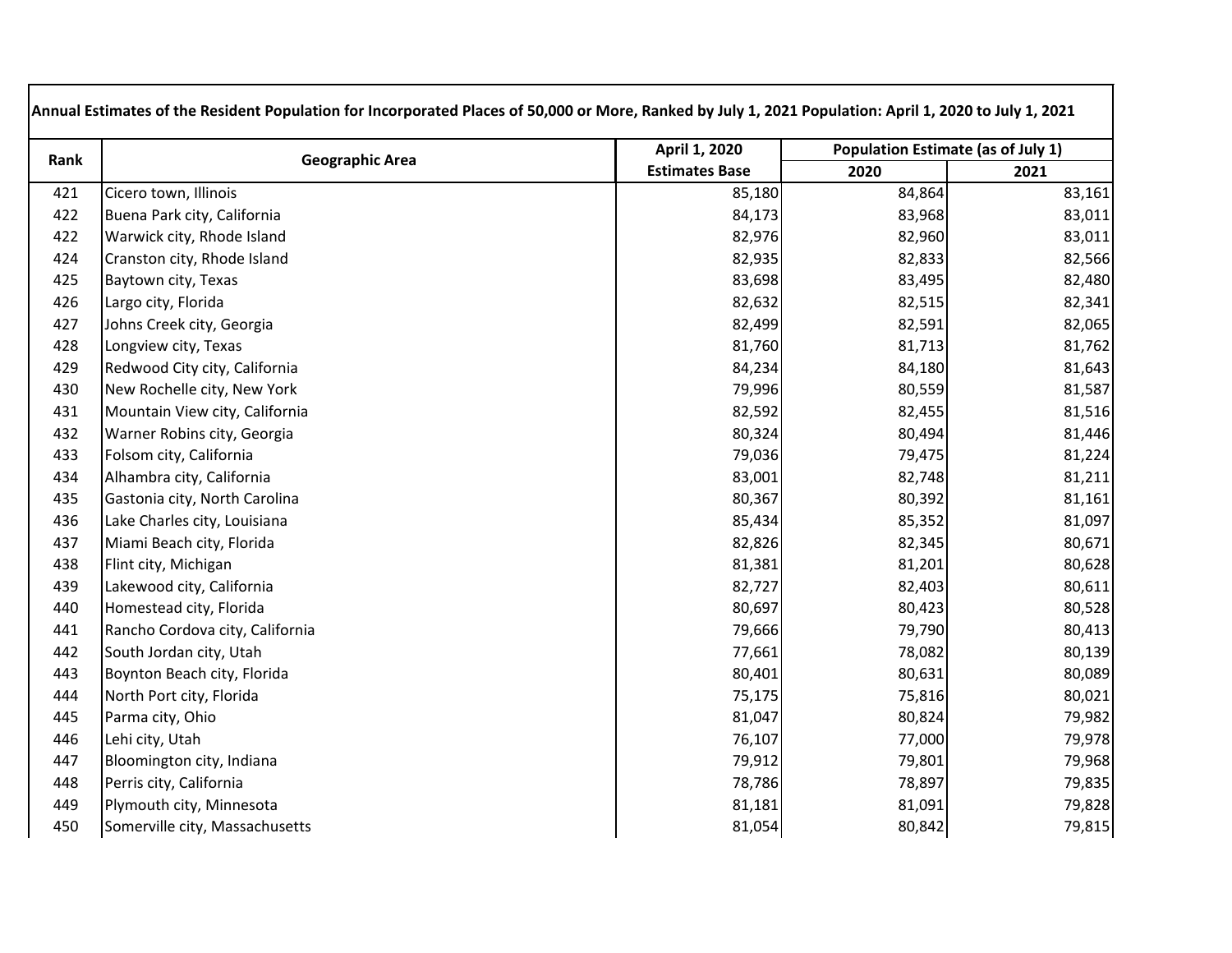| Rank | <b>Geographic Area</b>          | April 1, 2020         | <b>Population Estimate (as of July 1)</b> |        |
|------|---------------------------------|-----------------------|-------------------------------------------|--------|
|      |                                 | <b>Estimates Base</b> | 2020                                      | 2021   |
| 421  | Cicero town, Illinois           | 85,180                | 84,864                                    | 83,161 |
| 422  | Buena Park city, California     | 84,173                | 83,968                                    | 83,011 |
| 422  | Warwick city, Rhode Island      | 82,976                | 82,960                                    | 83,011 |
| 424  | Cranston city, Rhode Island     | 82,935                | 82,833                                    | 82,566 |
| 425  | Baytown city, Texas             | 83,698                | 83,495                                    | 82,480 |
| 426  | Largo city, Florida             | 82,632                | 82,515                                    | 82,341 |
| 427  | Johns Creek city, Georgia       | 82,499                | 82,591                                    | 82,065 |
| 428  | Longview city, Texas            | 81,760                | 81,713                                    | 81,762 |
| 429  | Redwood City city, California   | 84,234                | 84,180                                    | 81,643 |
| 430  | New Rochelle city, New York     | 79,996                | 80,559                                    | 81,587 |
| 431  | Mountain View city, California  | 82,592                | 82,455                                    | 81,516 |
| 432  | Warner Robins city, Georgia     | 80,324                | 80,494                                    | 81,446 |
| 433  | Folsom city, California         | 79,036                | 79,475                                    | 81,224 |
| 434  | Alhambra city, California       | 83,001                | 82,748                                    | 81,211 |
| 435  | Gastonia city, North Carolina   | 80,367                | 80,392                                    | 81,161 |
| 436  | Lake Charles city, Louisiana    | 85,434                | 85,352                                    | 81,097 |
| 437  | Miami Beach city, Florida       | 82,826                | 82,345                                    | 80,671 |
| 438  | Flint city, Michigan            | 81,381                | 81,201                                    | 80,628 |
| 439  | Lakewood city, California       | 82,727                | 82,403                                    | 80,611 |
| 440  | Homestead city, Florida         | 80,697                | 80,423                                    | 80,528 |
| 441  | Rancho Cordova city, California | 79,666                | 79,790                                    | 80,413 |
| 442  | South Jordan city, Utah         | 77,661                | 78,082                                    | 80,139 |
| 443  | Boynton Beach city, Florida     | 80,401                | 80,631                                    | 80,089 |
| 444  | North Port city, Florida        | 75,175                | 75,816                                    | 80,021 |
| 445  | Parma city, Ohio                | 81,047                | 80,824                                    | 79,982 |
| 446  | Lehi city, Utah                 | 76,107                | 77,000                                    | 79,978 |
| 447  | Bloomington city, Indiana       | 79,912                | 79,801                                    | 79,968 |
| 448  | Perris city, California         | 78,786                | 78,897                                    | 79,835 |
| 449  | Plymouth city, Minnesota        | 81,181                | 81,091                                    | 79,828 |
| 450  | Somerville city, Massachusetts  | 81,054                | 80,842                                    | 79,815 |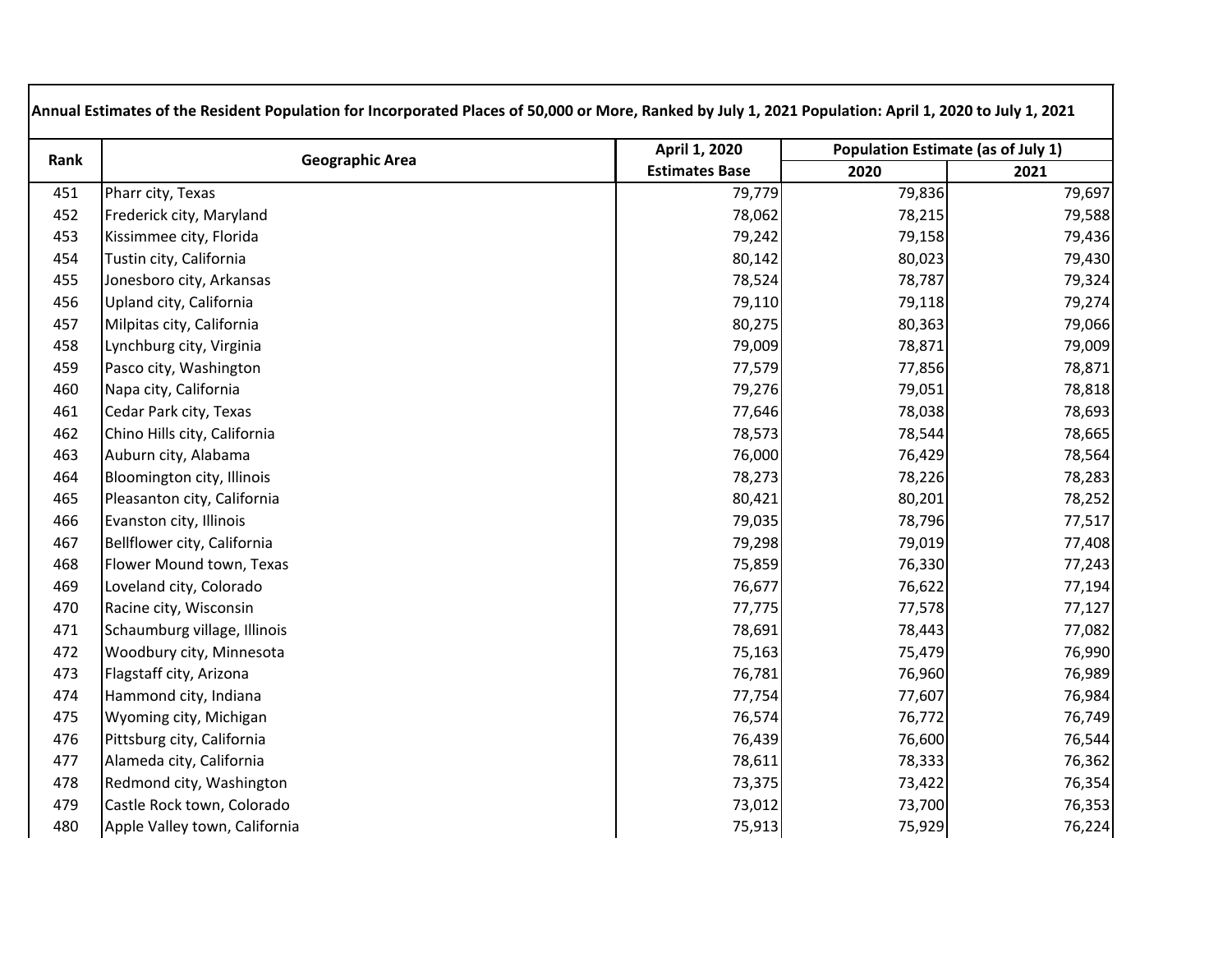| Rank | <b>Geographic Area</b>        | April 1, 2020         | Population Estimate (as of July 1) |        |
|------|-------------------------------|-----------------------|------------------------------------|--------|
|      |                               | <b>Estimates Base</b> | 2020                               | 2021   |
| 451  | Pharr city, Texas             | 79,779                | 79,836                             | 79,697 |
| 452  | Frederick city, Maryland      | 78,062                | 78,215                             | 79,588 |
| 453  | Kissimmee city, Florida       | 79,242                | 79,158                             | 79,436 |
| 454  | Tustin city, California       | 80,142                | 80,023                             | 79,430 |
| 455  | Jonesboro city, Arkansas      | 78,524                | 78,787                             | 79,324 |
| 456  | Upland city, California       | 79,110                | 79,118                             | 79,274 |
| 457  | Milpitas city, California     | 80,275                | 80,363                             | 79,066 |
| 458  | Lynchburg city, Virginia      | 79,009                | 78,871                             | 79,009 |
| 459  | Pasco city, Washington        | 77,579                | 77,856                             | 78,871 |
| 460  | Napa city, California         | 79,276                | 79,051                             | 78,818 |
| 461  | Cedar Park city, Texas        | 77,646                | 78,038                             | 78,693 |
| 462  | Chino Hills city, California  | 78,573                | 78,544                             | 78,665 |
| 463  | Auburn city, Alabama          | 76,000                | 76,429                             | 78,564 |
| 464  | Bloomington city, Illinois    | 78,273                | 78,226                             | 78,283 |
| 465  | Pleasanton city, California   | 80,421                | 80,201                             | 78,252 |
| 466  | Evanston city, Illinois       | 79,035                | 78,796                             | 77,517 |
| 467  | Bellflower city, California   | 79,298                | 79,019                             | 77,408 |
| 468  | Flower Mound town, Texas      | 75,859                | 76,330                             | 77,243 |
| 469  | Loveland city, Colorado       | 76,677                | 76,622                             | 77,194 |
| 470  | Racine city, Wisconsin        | 77,775                | 77,578                             | 77,127 |
| 471  | Schaumburg village, Illinois  | 78,691                | 78,443                             | 77,082 |
| 472  | Woodbury city, Minnesota      | 75,163                | 75,479                             | 76,990 |
| 473  | Flagstaff city, Arizona       | 76,781                | 76,960                             | 76,989 |
| 474  | Hammond city, Indiana         | 77,754                | 77,607                             | 76,984 |
| 475  | Wyoming city, Michigan        | 76,574                | 76,772                             | 76,749 |
| 476  | Pittsburg city, California    | 76,439                | 76,600                             | 76,544 |
| 477  | Alameda city, California      | 78,611                | 78,333                             | 76,362 |
| 478  | Redmond city, Washington      | 73,375                | 73,422                             | 76,354 |
| 479  | Castle Rock town, Colorado    | 73,012                | 73,700                             | 76,353 |
| 480  | Apple Valley town, California | 75,913                | 75,929                             | 76,224 |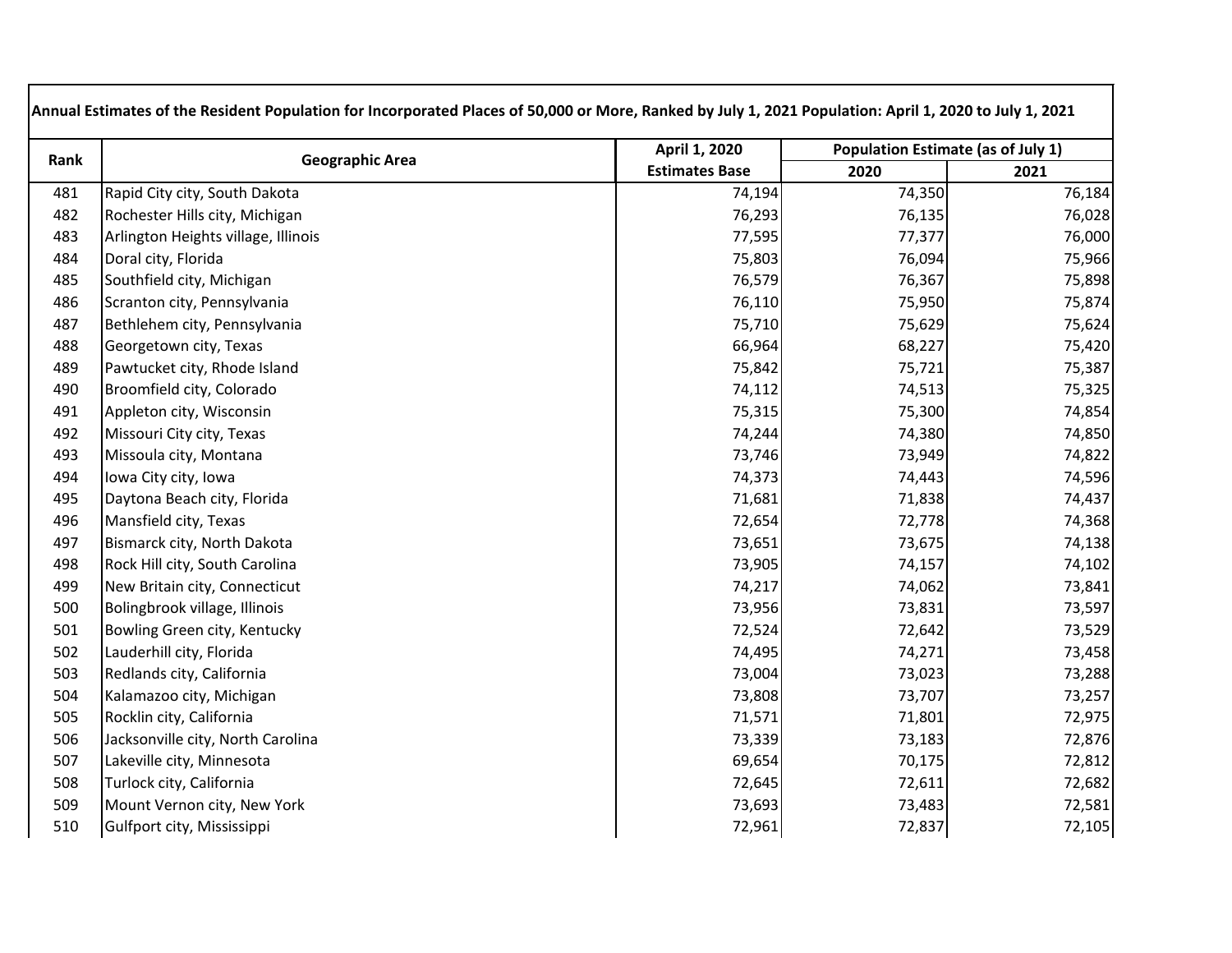| Rank | <b>Geographic Area</b>              | April 1, 2020<br><b>Estimates Base</b> | Population Estimate (as of July 1) |        |
|------|-------------------------------------|----------------------------------------|------------------------------------|--------|
|      |                                     |                                        | 2020                               | 2021   |
| 481  | Rapid City city, South Dakota       | 74,194                                 | 74,350                             | 76,184 |
| 482  | Rochester Hills city, Michigan      | 76,293                                 | 76,135                             | 76,028 |
| 483  | Arlington Heights village, Illinois | 77,595                                 | 77,377                             | 76,000 |
| 484  | Doral city, Florida                 | 75,803                                 | 76,094                             | 75,966 |
| 485  | Southfield city, Michigan           | 76,579                                 | 76,367                             | 75,898 |
| 486  | Scranton city, Pennsylvania         | 76,110                                 | 75,950                             | 75,874 |
| 487  | Bethlehem city, Pennsylvania        | 75,710                                 | 75,629                             | 75,624 |
| 488  | Georgetown city, Texas              | 66,964                                 | 68,227                             | 75,420 |
| 489  | Pawtucket city, Rhode Island        | 75,842                                 | 75,721                             | 75,387 |
| 490  | Broomfield city, Colorado           | 74,112                                 | 74,513                             | 75,325 |
| 491  | Appleton city, Wisconsin            | 75,315                                 | 75,300                             | 74,854 |
| 492  | Missouri City city, Texas           | 74,244                                 | 74,380                             | 74,850 |
| 493  | Missoula city, Montana              | 73,746                                 | 73,949                             | 74,822 |
| 494  | Iowa City city, Iowa                | 74,373                                 | 74,443                             | 74,596 |
| 495  | Daytona Beach city, Florida         | 71,681                                 | 71,838                             | 74,437 |
| 496  | Mansfield city, Texas               | 72,654                                 | 72,778                             | 74,368 |
| 497  | Bismarck city, North Dakota         | 73,651                                 | 73,675                             | 74,138 |
| 498  | Rock Hill city, South Carolina      | 73,905                                 | 74,157                             | 74,102 |
| 499  | New Britain city, Connecticut       | 74,217                                 | 74,062                             | 73,841 |
| 500  | Bolingbrook village, Illinois       | 73,956                                 | 73,831                             | 73,597 |
| 501  | Bowling Green city, Kentucky        | 72,524                                 | 72,642                             | 73,529 |
| 502  | Lauderhill city, Florida            | 74,495                                 | 74,271                             | 73,458 |
| 503  | Redlands city, California           | 73,004                                 | 73,023                             | 73,288 |
| 504  | Kalamazoo city, Michigan            | 73,808                                 | 73,707                             | 73,257 |
| 505  | Rocklin city, California            | 71,571                                 | 71,801                             | 72,975 |
| 506  | Jacksonville city, North Carolina   | 73,339                                 | 73,183                             | 72,876 |
| 507  | Lakeville city, Minnesota           | 69,654                                 | 70,175                             | 72,812 |
| 508  | Turlock city, California            | 72,645                                 | 72,611                             | 72,682 |
| 509  | Mount Vernon city, New York         | 73,693                                 | 73,483                             | 72,581 |
| 510  | Gulfport city, Mississippi          | 72,961                                 | 72,837                             | 72,105 |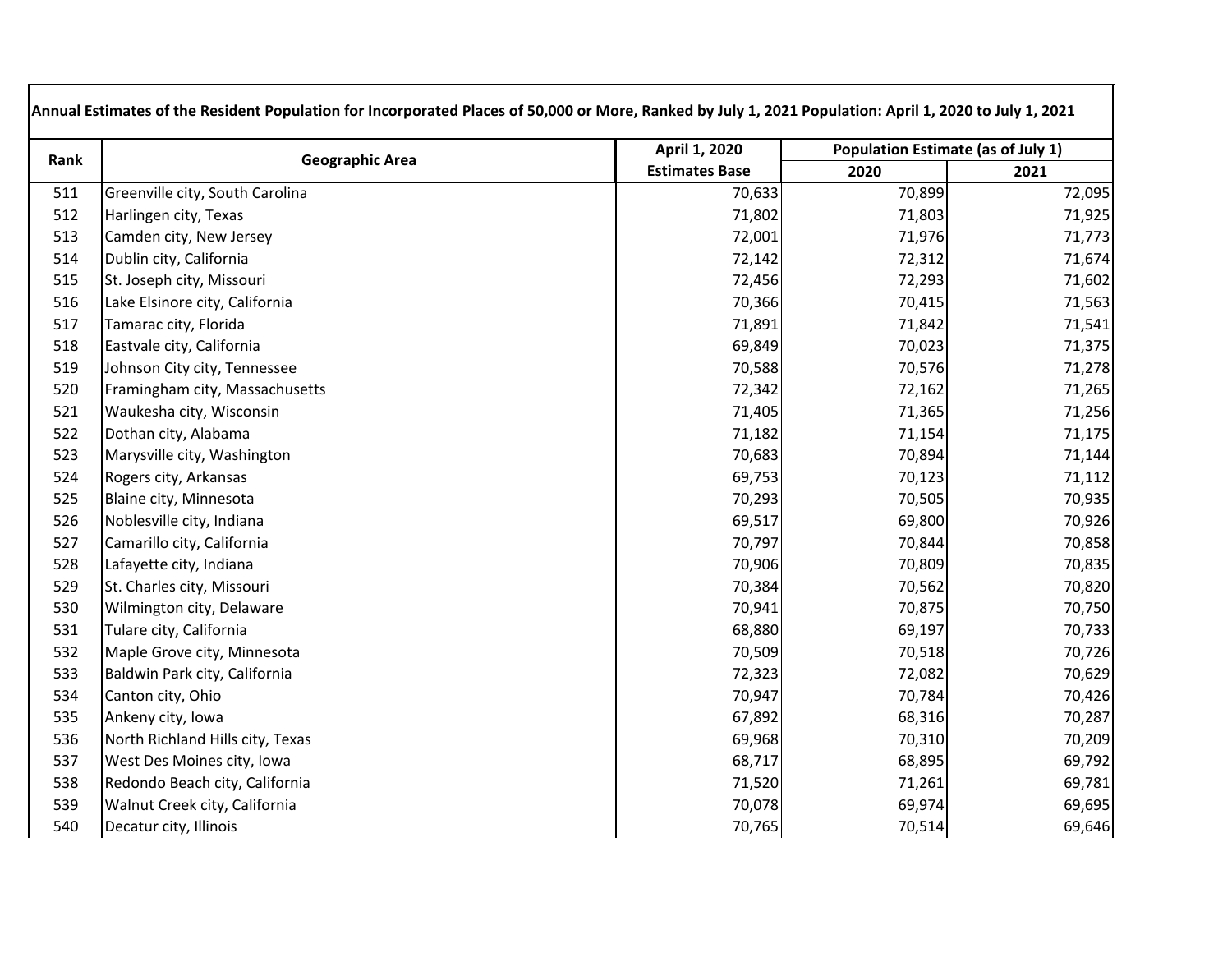| Rank | <b>Geographic Area</b>           | April 1, 2020         | Population Estimate (as of July 1) |        |
|------|----------------------------------|-----------------------|------------------------------------|--------|
|      |                                  | <b>Estimates Base</b> | 2020                               | 2021   |
| 511  | Greenville city, South Carolina  | 70,633                | 70,899                             | 72,095 |
| 512  | Harlingen city, Texas            | 71,802                | 71,803                             | 71,925 |
| 513  | Camden city, New Jersey          | 72,001                | 71,976                             | 71,773 |
| 514  | Dublin city, California          | 72,142                | 72,312                             | 71,674 |
| 515  | St. Joseph city, Missouri        | 72,456                | 72,293                             | 71,602 |
| 516  | Lake Elsinore city, California   | 70,366                | 70,415                             | 71,563 |
| 517  | Tamarac city, Florida            | 71,891                | 71,842                             | 71,541 |
| 518  | Eastvale city, California        | 69,849                | 70,023                             | 71,375 |
| 519  | Johnson City city, Tennessee     | 70,588                | 70,576                             | 71,278 |
| 520  | Framingham city, Massachusetts   | 72,342                | 72,162                             | 71,265 |
| 521  | Waukesha city, Wisconsin         | 71,405                | 71,365                             | 71,256 |
| 522  | Dothan city, Alabama             | 71,182                | 71,154                             | 71,175 |
| 523  | Marysville city, Washington      | 70,683                | 70,894                             | 71,144 |
| 524  | Rogers city, Arkansas            | 69,753                | 70,123                             | 71,112 |
| 525  | Blaine city, Minnesota           | 70,293                | 70,505                             | 70,935 |
| 526  | Noblesville city, Indiana        | 69,517                | 69,800                             | 70,926 |
| 527  | Camarillo city, California       | 70,797                | 70,844                             | 70,858 |
| 528  | Lafayette city, Indiana          | 70,906                | 70,809                             | 70,835 |
| 529  | St. Charles city, Missouri       | 70,384                | 70,562                             | 70,820 |
| 530  | Wilmington city, Delaware        | 70,941                | 70,875                             | 70,750 |
| 531  | Tulare city, California          | 68,880                | 69,197                             | 70,733 |
| 532  | Maple Grove city, Minnesota      | 70,509                | 70,518                             | 70,726 |
| 533  | Baldwin Park city, California    | 72,323                | 72,082                             | 70,629 |
| 534  | Canton city, Ohio                | 70,947                | 70,784                             | 70,426 |
| 535  | Ankeny city, Iowa                | 67,892                | 68,316                             | 70,287 |
| 536  | North Richland Hills city, Texas | 69,968                | 70,310                             | 70,209 |
| 537  | West Des Moines city, Iowa       | 68,717                | 68,895                             | 69,792 |
| 538  | Redondo Beach city, California   | 71,520                | 71,261                             | 69,781 |
| 539  | Walnut Creek city, California    | 70,078                | 69,974                             | 69,695 |
| 540  | Decatur city, Illinois           | 70,765                | 70,514                             | 69,646 |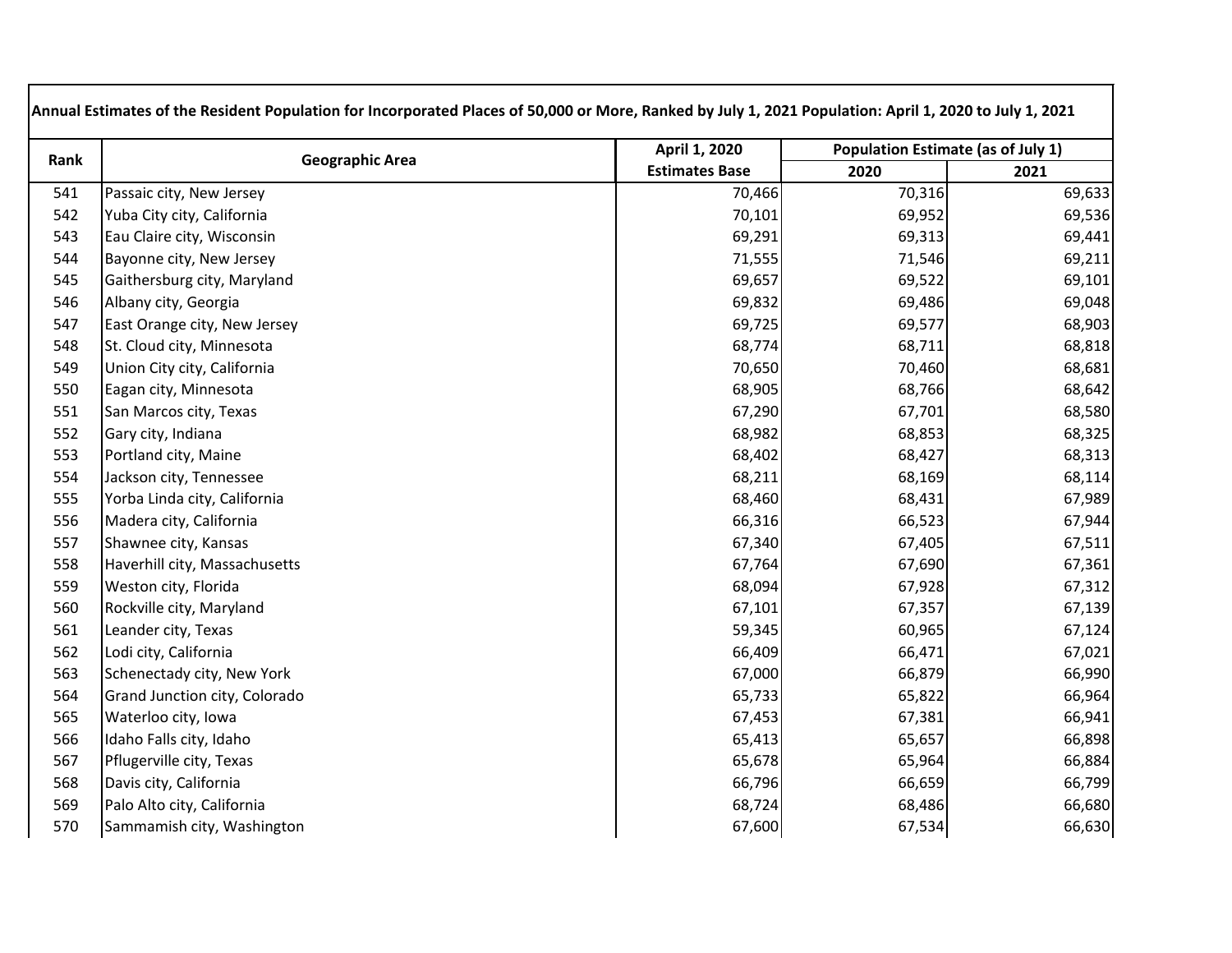| Rank | <b>Geographic Area</b>        | April 1, 2020         | Population Estimate (as of July 1) |        |
|------|-------------------------------|-----------------------|------------------------------------|--------|
|      |                               | <b>Estimates Base</b> | 2020                               | 2021   |
| 541  | Passaic city, New Jersey      | 70,466                | 70,316                             | 69,633 |
| 542  | Yuba City city, California    | 70,101                | 69,952                             | 69,536 |
| 543  | Eau Claire city, Wisconsin    | 69,291                | 69,313                             | 69,441 |
| 544  | Bayonne city, New Jersey      | 71,555                | 71,546                             | 69,211 |
| 545  | Gaithersburg city, Maryland   | 69,657                | 69,522                             | 69,101 |
| 546  | Albany city, Georgia          | 69,832                | 69,486                             | 69,048 |
| 547  | East Orange city, New Jersey  | 69,725                | 69,577                             | 68,903 |
| 548  | St. Cloud city, Minnesota     | 68,774                | 68,711                             | 68,818 |
| 549  | Union City city, California   | 70,650                | 70,460                             | 68,681 |
| 550  | Eagan city, Minnesota         | 68,905                | 68,766                             | 68,642 |
| 551  | San Marcos city, Texas        | 67,290                | 67,701                             | 68,580 |
| 552  | Gary city, Indiana            | 68,982                | 68,853                             | 68,325 |
| 553  | Portland city, Maine          | 68,402                | 68,427                             | 68,313 |
| 554  | Jackson city, Tennessee       | 68,211                | 68,169                             | 68,114 |
| 555  | Yorba Linda city, California  | 68,460                | 68,431                             | 67,989 |
| 556  | Madera city, California       | 66,316                | 66,523                             | 67,944 |
| 557  | Shawnee city, Kansas          | 67,340                | 67,405                             | 67,511 |
| 558  | Haverhill city, Massachusetts | 67,764                | 67,690                             | 67,361 |
| 559  | Weston city, Florida          | 68,094                | 67,928                             | 67,312 |
| 560  | Rockville city, Maryland      | 67,101                | 67,357                             | 67,139 |
| 561  | Leander city, Texas           | 59,345                | 60,965                             | 67,124 |
| 562  | Lodi city, California         | 66,409                | 66,471                             | 67,021 |
| 563  | Schenectady city, New York    | 67,000                | 66,879                             | 66,990 |
| 564  | Grand Junction city, Colorado | 65,733                | 65,822                             | 66,964 |
| 565  | Waterloo city, Iowa           | 67,453                | 67,381                             | 66,941 |
| 566  | Idaho Falls city, Idaho       | 65,413                | 65,657                             | 66,898 |
| 567  | Pflugerville city, Texas      | 65,678                | 65,964                             | 66,884 |
| 568  | Davis city, California        | 66,796                | 66,659                             | 66,799 |
| 569  | Palo Alto city, California    | 68,724                | 68,486                             | 66,680 |
| 570  | Sammamish city, Washington    | 67,600                | 67,534                             | 66,630 |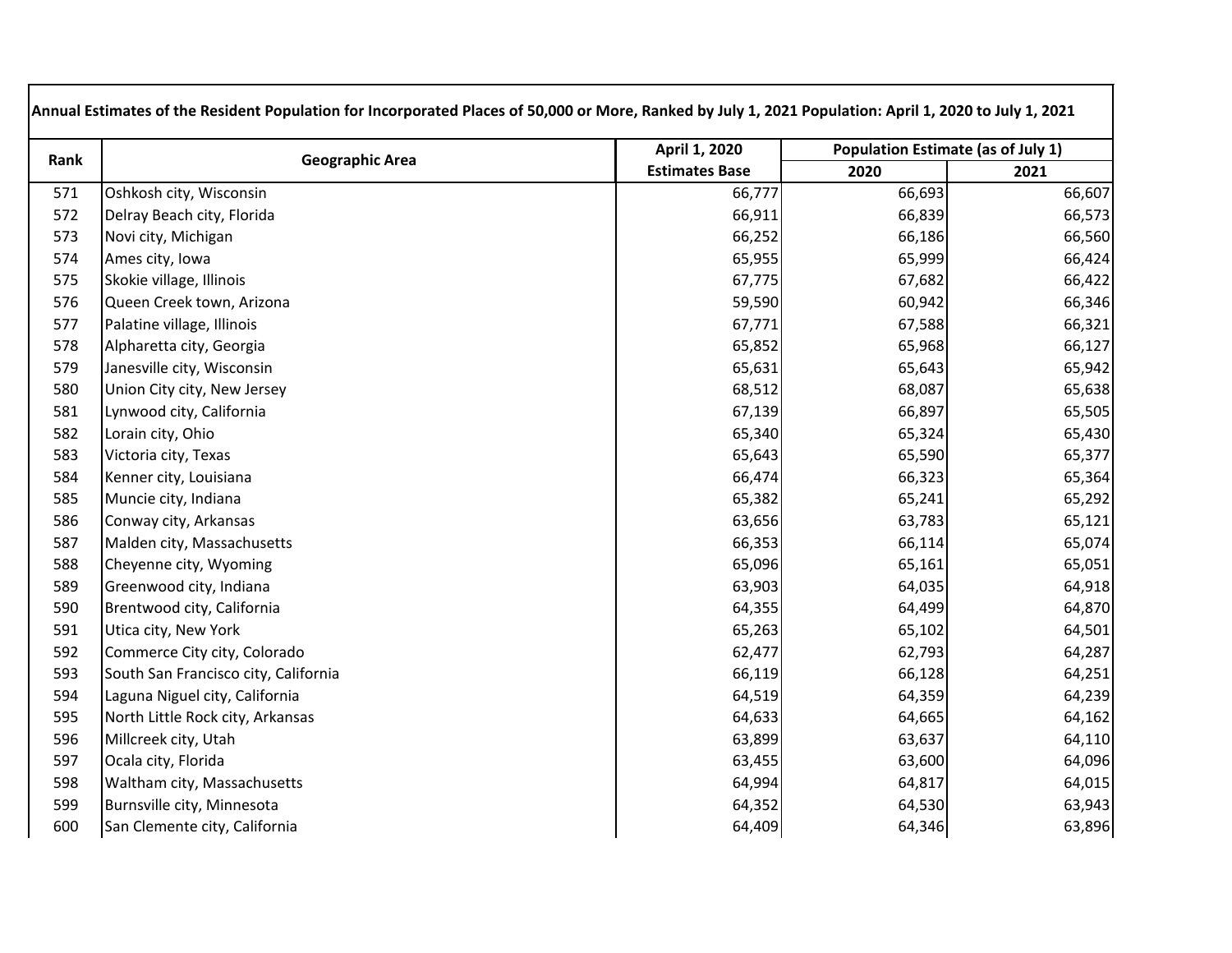| Rank | <b>Geographic Area</b>               | April 1, 2020         | Population Estimate (as of July 1) |        |
|------|--------------------------------------|-----------------------|------------------------------------|--------|
|      |                                      | <b>Estimates Base</b> | 2020                               | 2021   |
| 571  | Oshkosh city, Wisconsin              | 66,777                | 66,693                             | 66,607 |
| 572  | Delray Beach city, Florida           | 66,911                | 66,839                             | 66,573 |
| 573  | Novi city, Michigan                  | 66,252                | 66,186                             | 66,560 |
| 574  | Ames city, Iowa                      | 65,955                | 65,999                             | 66,424 |
| 575  | Skokie village, Illinois             | 67,775                | 67,682                             | 66,422 |
| 576  | Queen Creek town, Arizona            | 59,590                | 60,942                             | 66,346 |
| 577  | Palatine village, Illinois           | 67,771                | 67,588                             | 66,321 |
| 578  | Alpharetta city, Georgia             | 65,852                | 65,968                             | 66,127 |
| 579  | Janesville city, Wisconsin           | 65,631                | 65,643                             | 65,942 |
| 580  | Union City city, New Jersey          | 68,512                | 68,087                             | 65,638 |
| 581  | Lynwood city, California             | 67,139                | 66,897                             | 65,505 |
| 582  | Lorain city, Ohio                    | 65,340                | 65,324                             | 65,430 |
| 583  | Victoria city, Texas                 | 65,643                | 65,590                             | 65,377 |
| 584  | Kenner city, Louisiana               | 66,474                | 66,323                             | 65,364 |
| 585  | Muncie city, Indiana                 | 65,382                | 65,241                             | 65,292 |
| 586  | Conway city, Arkansas                | 63,656                | 63,783                             | 65,121 |
| 587  | Malden city, Massachusetts           | 66,353                | 66,114                             | 65,074 |
| 588  | Cheyenne city, Wyoming               | 65,096                | 65,161                             | 65,051 |
| 589  | Greenwood city, Indiana              | 63,903                | 64,035                             | 64,918 |
| 590  | Brentwood city, California           | 64,355                | 64,499                             | 64,870 |
| 591  | Utica city, New York                 | 65,263                | 65,102                             | 64,501 |
| 592  | Commerce City city, Colorado         | 62,477                | 62,793                             | 64,287 |
| 593  | South San Francisco city, California | 66,119                | 66,128                             | 64,251 |
| 594  | Laguna Niguel city, California       | 64,519                | 64,359                             | 64,239 |
| 595  | North Little Rock city, Arkansas     | 64,633                | 64,665                             | 64,162 |
| 596  | Millcreek city, Utah                 | 63,899                | 63,637                             | 64,110 |
| 597  | Ocala city, Florida                  | 63,455                | 63,600                             | 64,096 |
| 598  | Waltham city, Massachusetts          | 64,994                | 64,817                             | 64,015 |
| 599  | Burnsville city, Minnesota           | 64,352                | 64,530                             | 63,943 |
| 600  | San Clemente city, California        | 64,409                | 64,346                             | 63,896 |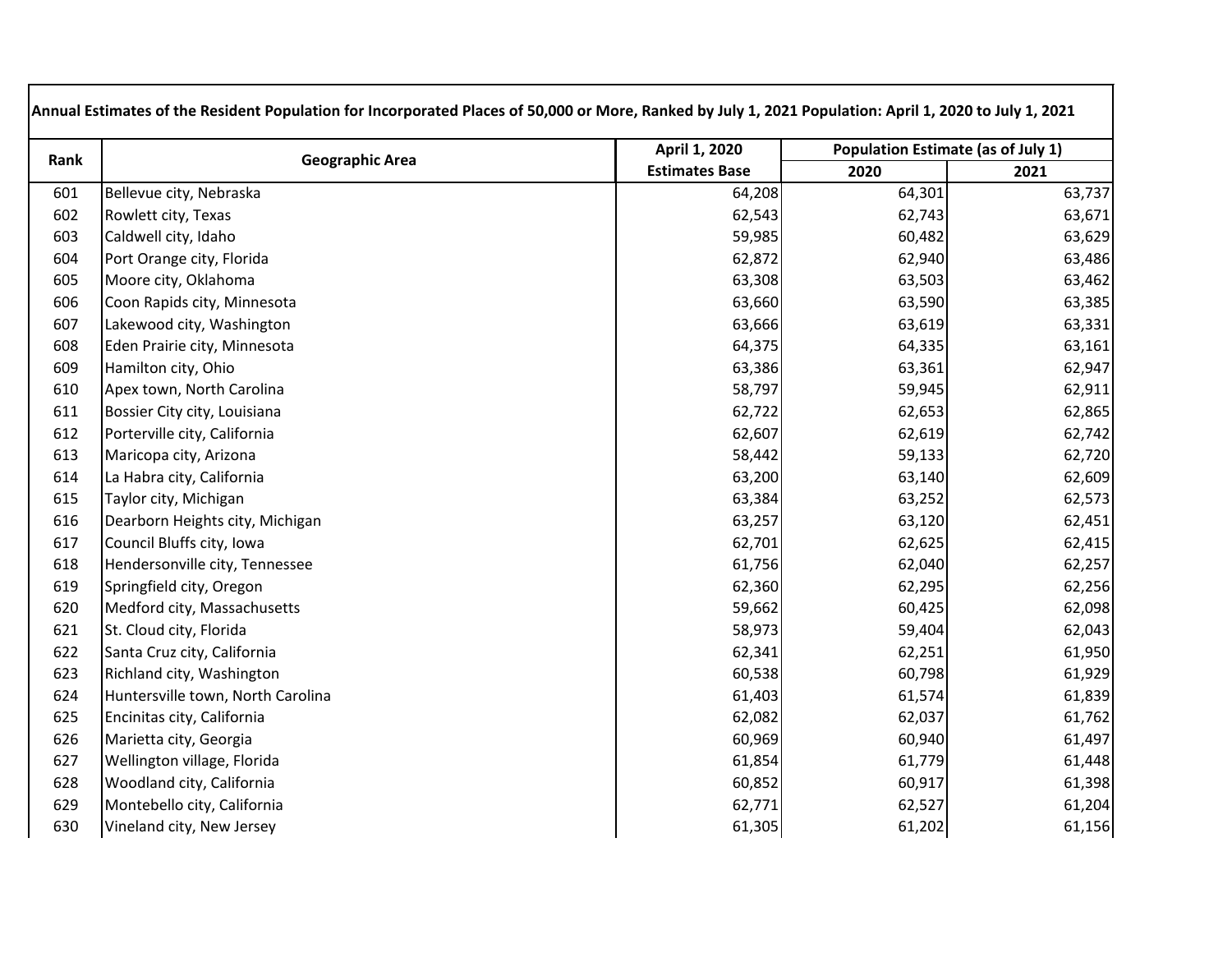| Rank | <b>Geographic Area</b>            | April 1, 2020         | Population Estimate (as of July 1) |        |
|------|-----------------------------------|-----------------------|------------------------------------|--------|
|      |                                   | <b>Estimates Base</b> | 2020                               | 2021   |
| 601  | Bellevue city, Nebraska           | 64,208                | 64,301                             | 63,737 |
| 602  | Rowlett city, Texas               | 62,543                | 62,743                             | 63,671 |
| 603  | Caldwell city, Idaho              | 59,985                | 60,482                             | 63,629 |
| 604  | Port Orange city, Florida         | 62,872                | 62,940                             | 63,486 |
| 605  | Moore city, Oklahoma              | 63,308                | 63,503                             | 63,462 |
| 606  | Coon Rapids city, Minnesota       | 63,660                | 63,590                             | 63,385 |
| 607  | Lakewood city, Washington         | 63,666                | 63,619                             | 63,331 |
| 608  | Eden Prairie city, Minnesota      | 64,375                | 64,335                             | 63,161 |
| 609  | Hamilton city, Ohio               | 63,386                | 63,361                             | 62,947 |
| 610  | Apex town, North Carolina         | 58,797                | 59,945                             | 62,911 |
| 611  | Bossier City city, Louisiana      | 62,722                | 62,653                             | 62,865 |
| 612  | Porterville city, California      | 62,607                | 62,619                             | 62,742 |
| 613  | Maricopa city, Arizona            | 58,442                | 59,133                             | 62,720 |
| 614  | La Habra city, California         | 63,200                | 63,140                             | 62,609 |
| 615  | Taylor city, Michigan             | 63,384                | 63,252                             | 62,573 |
| 616  | Dearborn Heights city, Michigan   | 63,257                | 63,120                             | 62,451 |
| 617  | Council Bluffs city, Iowa         | 62,701                | 62,625                             | 62,415 |
| 618  | Hendersonville city, Tennessee    | 61,756                | 62,040                             | 62,257 |
| 619  | Springfield city, Oregon          | 62,360                | 62,295                             | 62,256 |
| 620  | Medford city, Massachusetts       | 59,662                | 60,425                             | 62,098 |
| 621  | St. Cloud city, Florida           | 58,973                | 59,404                             | 62,043 |
| 622  | Santa Cruz city, California       | 62,341                | 62,251                             | 61,950 |
| 623  | Richland city, Washington         | 60,538                | 60,798                             | 61,929 |
| 624  | Huntersville town, North Carolina | 61,403                | 61,574                             | 61,839 |
| 625  | Encinitas city, California        | 62,082                | 62,037                             | 61,762 |
| 626  | Marietta city, Georgia            | 60,969                | 60,940                             | 61,497 |
| 627  | Wellington village, Florida       | 61,854                | 61,779                             | 61,448 |
| 628  | Woodland city, California         | 60,852                | 60,917                             | 61,398 |
| 629  | Montebello city, California       | 62,771                | 62,527                             | 61,204 |
| 630  | Vineland city, New Jersey         | 61,305                | 61,202                             | 61,156 |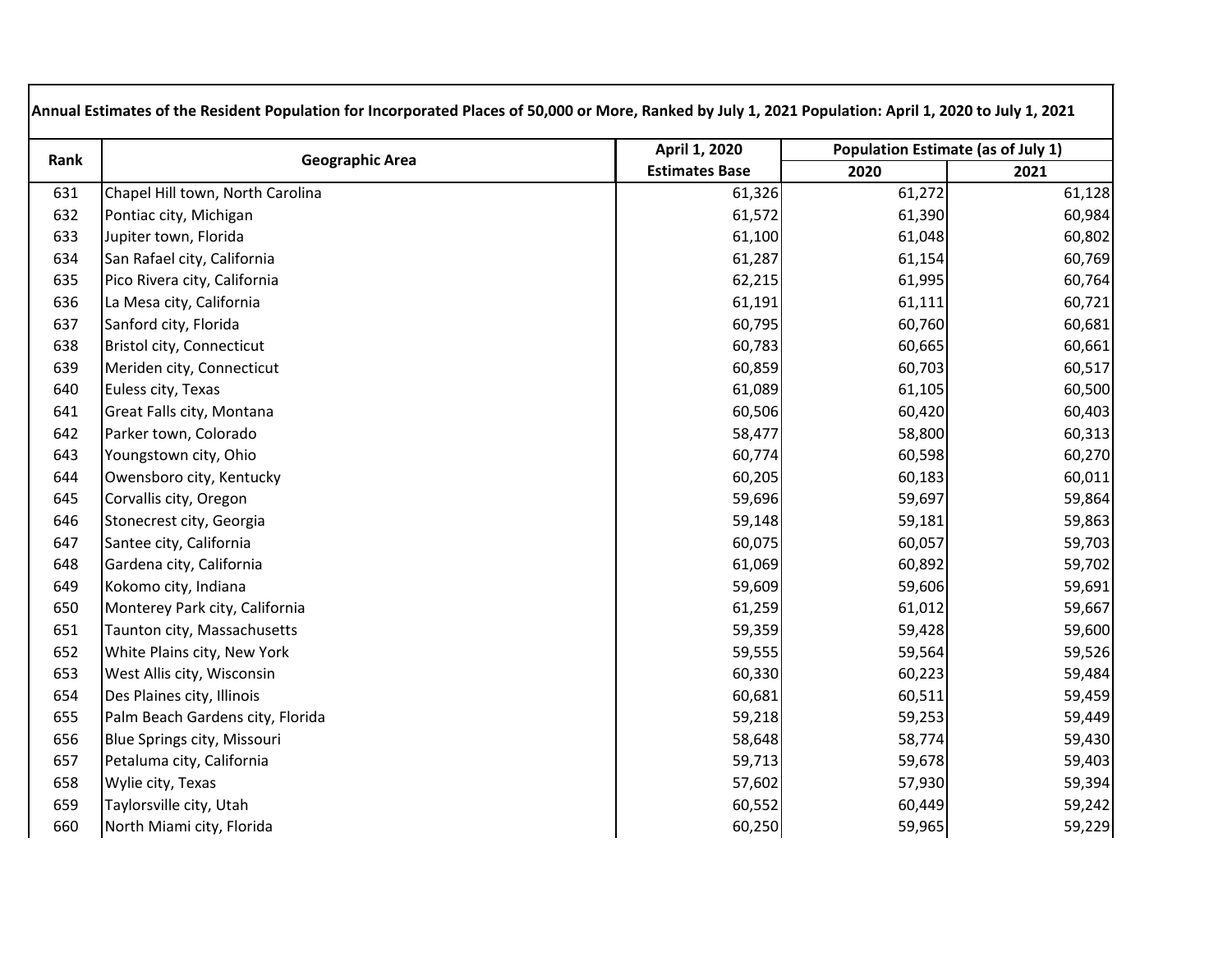| Rank | <b>Geographic Area</b>           | April 1, 2020         | Population Estimate (as of July 1) |        |
|------|----------------------------------|-----------------------|------------------------------------|--------|
|      |                                  | <b>Estimates Base</b> | 2020                               | 2021   |
| 631  | Chapel Hill town, North Carolina | 61,326                | 61,272                             | 61,128 |
| 632  | Pontiac city, Michigan           | 61,572                | 61,390                             | 60,984 |
| 633  | Jupiter town, Florida            | 61,100                | 61,048                             | 60,802 |
| 634  | San Rafael city, California      | 61,287                | 61,154                             | 60,769 |
| 635  | Pico Rivera city, California     | 62,215                | 61,995                             | 60,764 |
| 636  | La Mesa city, California         | 61,191                | 61,111                             | 60,721 |
| 637  | Sanford city, Florida            | 60,795                | 60,760                             | 60,681 |
| 638  | Bristol city, Connecticut        | 60,783                | 60,665                             | 60,661 |
| 639  | Meriden city, Connecticut        | 60,859                | 60,703                             | 60,517 |
| 640  | Euless city, Texas               | 61,089                | 61,105                             | 60,500 |
| 641  | Great Falls city, Montana        | 60,506                | 60,420                             | 60,403 |
| 642  | Parker town, Colorado            | 58,477                | 58,800                             | 60,313 |
| 643  | Youngstown city, Ohio            | 60,774                | 60,598                             | 60,270 |
| 644  | Owensboro city, Kentucky         | 60,205                | 60,183                             | 60,011 |
| 645  | Corvallis city, Oregon           | 59,696                | 59,697                             | 59,864 |
| 646  | Stonecrest city, Georgia         | 59,148                | 59,181                             | 59,863 |
| 647  | Santee city, California          | 60,075                | 60,057                             | 59,703 |
| 648  | Gardena city, California         | 61,069                | 60,892                             | 59,702 |
| 649  | Kokomo city, Indiana             | 59,609                | 59,606                             | 59,691 |
| 650  | Monterey Park city, California   | 61,259                | 61,012                             | 59,667 |
| 651  | Taunton city, Massachusetts      | 59,359                | 59,428                             | 59,600 |
| 652  | White Plains city, New York      | 59,555                | 59,564                             | 59,526 |
| 653  | West Allis city, Wisconsin       | 60,330                | 60,223                             | 59,484 |
| 654  | Des Plaines city, Illinois       | 60,681                | 60,511                             | 59,459 |
| 655  | Palm Beach Gardens city, Florida | 59,218                | 59,253                             | 59,449 |
| 656  | Blue Springs city, Missouri      | 58,648                | 58,774                             | 59,430 |
| 657  | Petaluma city, California        | 59,713                | 59,678                             | 59,403 |
| 658  | Wylie city, Texas                | 57,602                | 57,930                             | 59,394 |
| 659  | Taylorsville city, Utah          | 60,552                | 60,449                             | 59,242 |
| 660  | North Miami city, Florida        | 60,250                | 59,965                             | 59,229 |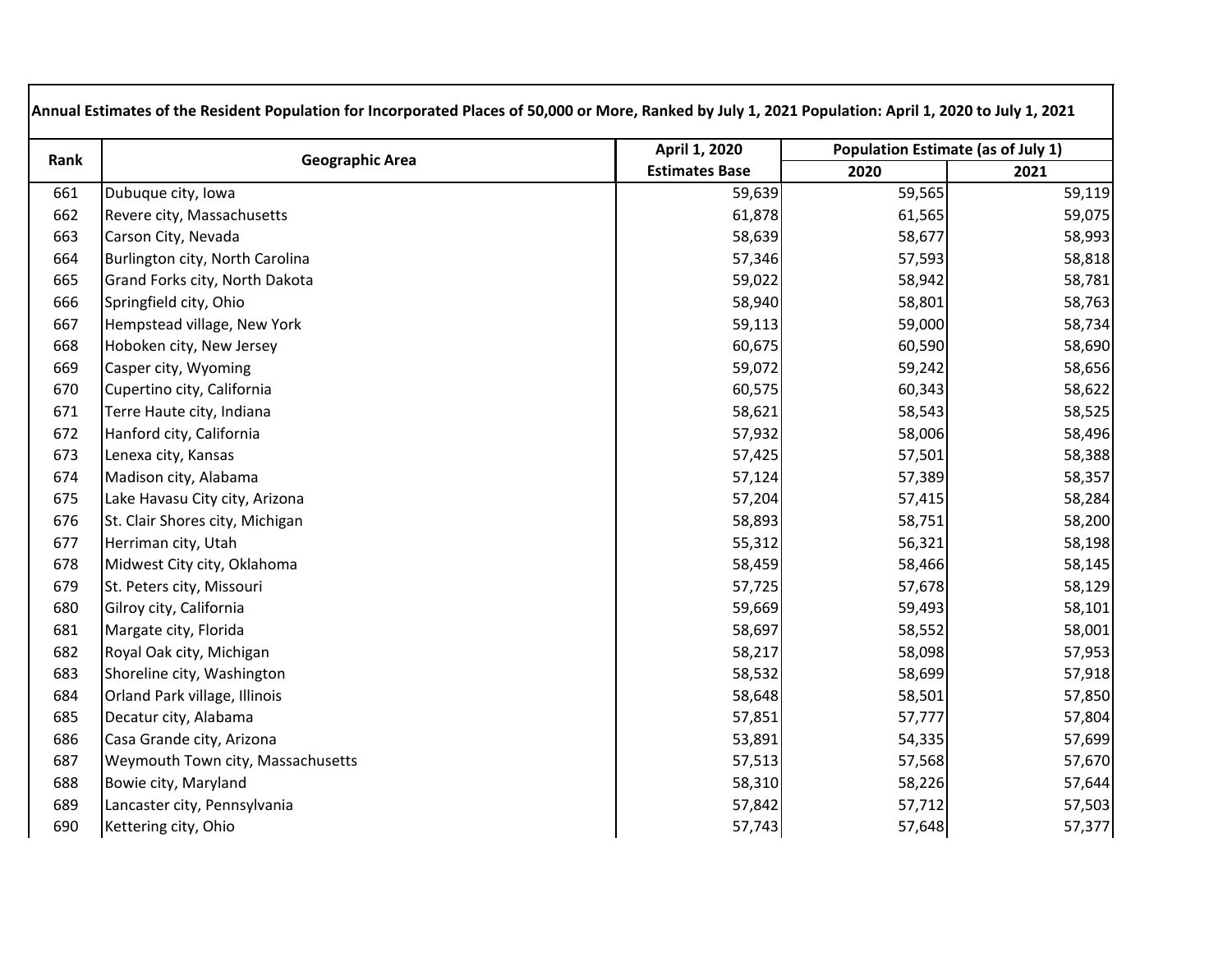| Rank | <b>Geographic Area</b>            | April 1, 2020         | <b>Population Estimate (as of July 1)</b> |        |
|------|-----------------------------------|-----------------------|-------------------------------------------|--------|
|      |                                   | <b>Estimates Base</b> | 2020                                      | 2021   |
| 661  | Dubuque city, Iowa                | 59,639                | 59,565                                    | 59,119 |
| 662  | Revere city, Massachusetts        | 61,878                | 61,565                                    | 59,075 |
| 663  | Carson City, Nevada               | 58,639                | 58,677                                    | 58,993 |
| 664  | Burlington city, North Carolina   | 57,346                | 57,593                                    | 58,818 |
| 665  | Grand Forks city, North Dakota    | 59,022                | 58,942                                    | 58,781 |
| 666  | Springfield city, Ohio            | 58,940                | 58,801                                    | 58,763 |
| 667  | Hempstead village, New York       | 59,113                | 59,000                                    | 58,734 |
| 668  | Hoboken city, New Jersey          | 60,675                | 60,590                                    | 58,690 |
| 669  | Casper city, Wyoming              | 59,072                | 59,242                                    | 58,656 |
| 670  | Cupertino city, California        | 60,575                | 60,343                                    | 58,622 |
| 671  | Terre Haute city, Indiana         | 58,621                | 58,543                                    | 58,525 |
| 672  | Hanford city, California          | 57,932                | 58,006                                    | 58,496 |
| 673  | Lenexa city, Kansas               | 57,425                | 57,501                                    | 58,388 |
| 674  | Madison city, Alabama             | 57,124                | 57,389                                    | 58,357 |
| 675  | Lake Havasu City city, Arizona    | 57,204                | 57,415                                    | 58,284 |
| 676  | St. Clair Shores city, Michigan   | 58,893                | 58,751                                    | 58,200 |
| 677  | Herriman city, Utah               | 55,312                | 56,321                                    | 58,198 |
| 678  | Midwest City city, Oklahoma       | 58,459                | 58,466                                    | 58,145 |
| 679  | St. Peters city, Missouri         | 57,725                | 57,678                                    | 58,129 |
| 680  | Gilroy city, California           | 59,669                | 59,493                                    | 58,101 |
| 681  | Margate city, Florida             | 58,697                | 58,552                                    | 58,001 |
| 682  | Royal Oak city, Michigan          | 58,217                | 58,098                                    | 57,953 |
| 683  | Shoreline city, Washington        | 58,532                | 58,699                                    | 57,918 |
| 684  | Orland Park village, Illinois     | 58,648                | 58,501                                    | 57,850 |
| 685  | Decatur city, Alabama             | 57,851                | 57,777                                    | 57,804 |
| 686  | Casa Grande city, Arizona         | 53,891                | 54,335                                    | 57,699 |
| 687  | Weymouth Town city, Massachusetts | 57,513                | 57,568                                    | 57,670 |
| 688  | Bowie city, Maryland              | 58,310                | 58,226                                    | 57,644 |
| 689  | Lancaster city, Pennsylvania      | 57,842                | 57,712                                    | 57,503 |
| 690  | Kettering city, Ohio              | 57,743                | 57,648                                    | 57,377 |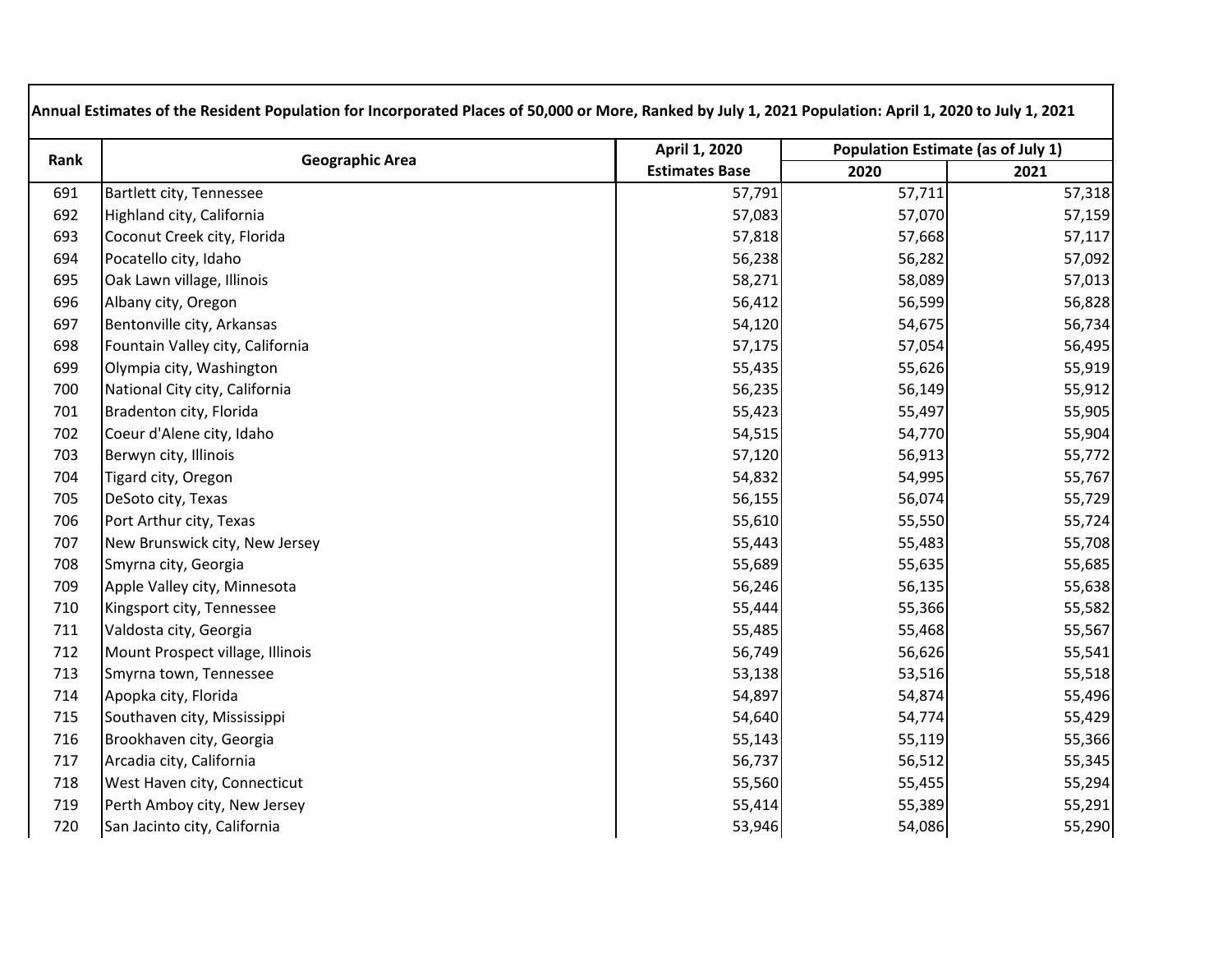| Rank | <b>Geographic Area</b>           | April 1, 2020         | <b>Population Estimate (as of July 1)</b> |        |  |
|------|----------------------------------|-----------------------|-------------------------------------------|--------|--|
|      |                                  | <b>Estimates Base</b> | 2020                                      | 2021   |  |
| 691  | Bartlett city, Tennessee         | 57,791                | 57,711                                    | 57,318 |  |
| 692  | Highland city, California        | 57,083                | 57,070                                    | 57,159 |  |
| 693  | Coconut Creek city, Florida      | 57,818                | 57,668                                    | 57,117 |  |
| 694  | Pocatello city, Idaho            | 56,238                | 56,282                                    | 57,092 |  |
| 695  | Oak Lawn village, Illinois       | 58,271                | 58,089                                    | 57,013 |  |
| 696  | Albany city, Oregon              | 56,412                | 56,599                                    | 56,828 |  |
| 697  | Bentonville city, Arkansas       | 54,120                | 54,675                                    | 56,734 |  |
| 698  | Fountain Valley city, California | 57,175                | 57,054                                    | 56,495 |  |
| 699  | Olympia city, Washington         | 55,435                | 55,626                                    | 55,919 |  |
| 700  | National City city, California   | 56,235                | 56,149                                    | 55,912 |  |
| 701  | Bradenton city, Florida          | 55,423                | 55,497                                    | 55,905 |  |
| 702  | Coeur d'Alene city, Idaho        | 54,515                | 54,770                                    | 55,904 |  |
| 703  | Berwyn city, Illinois            | 57,120                | 56,913                                    | 55,772 |  |
| 704  | Tigard city, Oregon              | 54,832                | 54,995                                    | 55,767 |  |
| 705  | DeSoto city, Texas               | 56,155                | 56,074                                    | 55,729 |  |
| 706  | Port Arthur city, Texas          | 55,610                | 55,550                                    | 55,724 |  |
| 707  | New Brunswick city, New Jersey   | 55,443                | 55,483                                    | 55,708 |  |
| 708  | Smyrna city, Georgia             | 55,689                | 55,635                                    | 55,685 |  |
| 709  | Apple Valley city, Minnesota     | 56,246                | 56,135                                    | 55,638 |  |
| 710  | Kingsport city, Tennessee        | 55,444                | 55,366                                    | 55,582 |  |
| 711  | Valdosta city, Georgia           | 55,485                | 55,468                                    | 55,567 |  |
| 712  | Mount Prospect village, Illinois | 56,749                | 56,626                                    | 55,541 |  |
| 713  | Smyrna town, Tennessee           | 53,138                | 53,516                                    | 55,518 |  |
| 714  | Apopka city, Florida             | 54,897                | 54,874                                    | 55,496 |  |
| 715  | Southaven city, Mississippi      | 54,640                | 54,774                                    | 55,429 |  |
| 716  | Brookhaven city, Georgia         | 55,143                | 55,119                                    | 55,366 |  |
| 717  | Arcadia city, California         | 56,737                | 56,512                                    | 55,345 |  |
| 718  | West Haven city, Connecticut     | 55,560                | 55,455                                    | 55,294 |  |
| 719  | Perth Amboy city, New Jersey     | 55,414                | 55,389                                    | 55,291 |  |
| 720  | San Jacinto city, California     | 53,946                | 54,086                                    | 55,290 |  |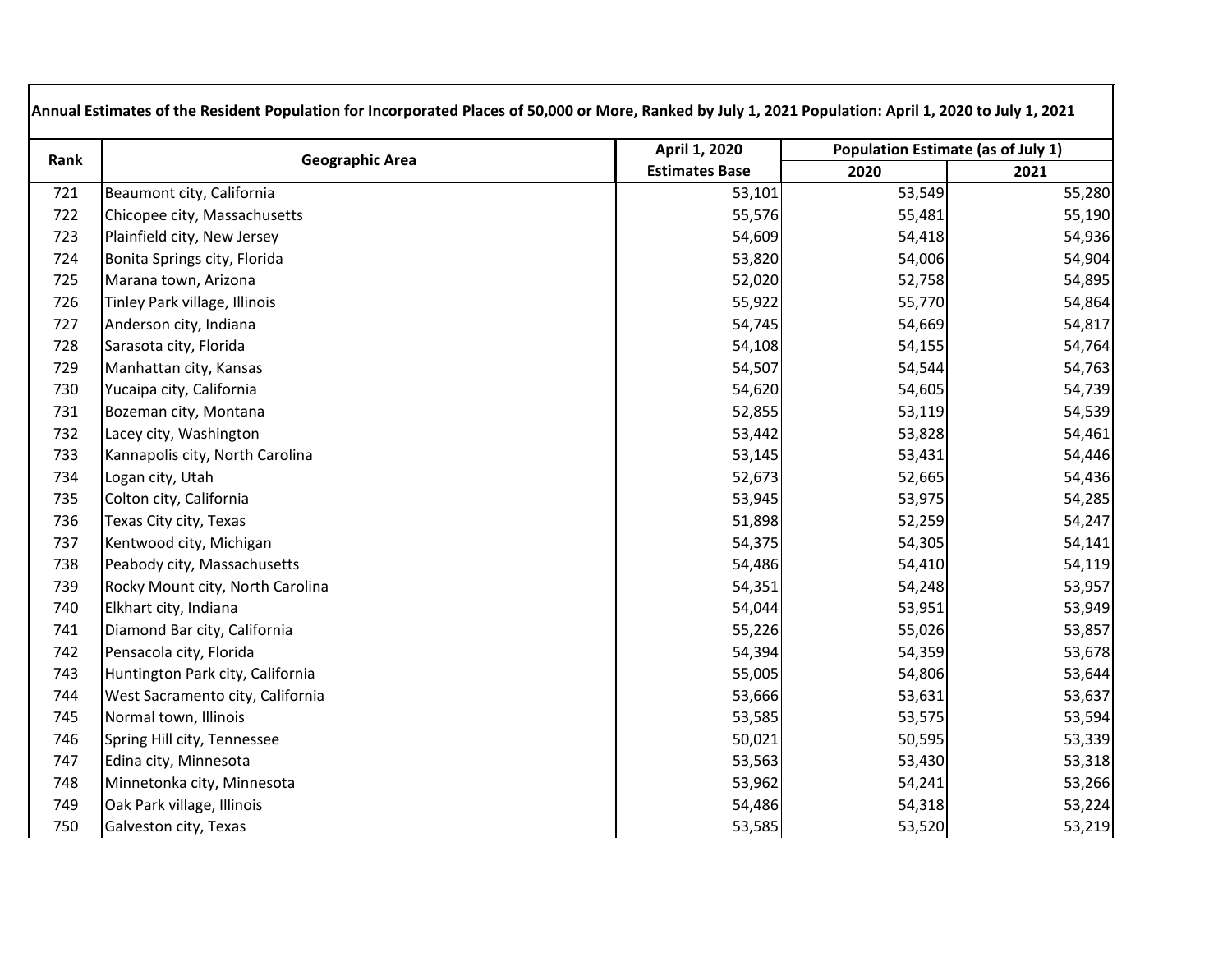| Rank | <b>Geographic Area</b>           | April 1, 2020         | <b>Population Estimate (as of July 1)</b> |        |
|------|----------------------------------|-----------------------|-------------------------------------------|--------|
|      |                                  | <b>Estimates Base</b> | 2020                                      | 2021   |
| 721  | Beaumont city, California        | 53,101                | 53,549                                    | 55,280 |
| 722  | Chicopee city, Massachusetts     | 55,576                | 55,481                                    | 55,190 |
| 723  | Plainfield city, New Jersey      | 54,609                | 54,418                                    | 54,936 |
| 724  | Bonita Springs city, Florida     | 53,820                | 54,006                                    | 54,904 |
| 725  | Marana town, Arizona             | 52,020                | 52,758                                    | 54,895 |
| 726  | Tinley Park village, Illinois    | 55,922                | 55,770                                    | 54,864 |
| 727  | Anderson city, Indiana           | 54,745                | 54,669                                    | 54,817 |
| 728  | Sarasota city, Florida           | 54,108                | 54,155                                    | 54,764 |
| 729  | Manhattan city, Kansas           | 54,507                | 54,544                                    | 54,763 |
| 730  | Yucaipa city, California         | 54,620                | 54,605                                    | 54,739 |
| 731  | Bozeman city, Montana            | 52,855                | 53,119                                    | 54,539 |
| 732  | Lacey city, Washington           | 53,442                | 53,828                                    | 54,461 |
| 733  | Kannapolis city, North Carolina  | 53,145                | 53,431                                    | 54,446 |
| 734  | Logan city, Utah                 | 52,673                | 52,665                                    | 54,436 |
| 735  | Colton city, California          | 53,945                | 53,975                                    | 54,285 |
| 736  | Texas City city, Texas           | 51,898                | 52,259                                    | 54,247 |
| 737  | Kentwood city, Michigan          | 54,375                | 54,305                                    | 54,141 |
| 738  | Peabody city, Massachusetts      | 54,486                | 54,410                                    | 54,119 |
| 739  | Rocky Mount city, North Carolina | 54,351                | 54,248                                    | 53,957 |
| 740  | Elkhart city, Indiana            | 54,044                | 53,951                                    | 53,949 |
| 741  | Diamond Bar city, California     | 55,226                | 55,026                                    | 53,857 |
| 742  | Pensacola city, Florida          | 54,394                | 54,359                                    | 53,678 |
| 743  | Huntington Park city, California | 55,005                | 54,806                                    | 53,644 |
| 744  | West Sacramento city, California | 53,666                | 53,631                                    | 53,637 |
| 745  | Normal town, Illinois            | 53,585                | 53,575                                    | 53,594 |
| 746  | Spring Hill city, Tennessee      | 50,021                | 50,595                                    | 53,339 |
| 747  | Edina city, Minnesota            | 53,563                | 53,430                                    | 53,318 |
| 748  | Minnetonka city, Minnesota       | 53,962                | 54,241                                    | 53,266 |
| 749  | Oak Park village, Illinois       | 54,486                | 54,318                                    | 53,224 |
| 750  | Galveston city, Texas            | 53,585                | 53,520                                    | 53,219 |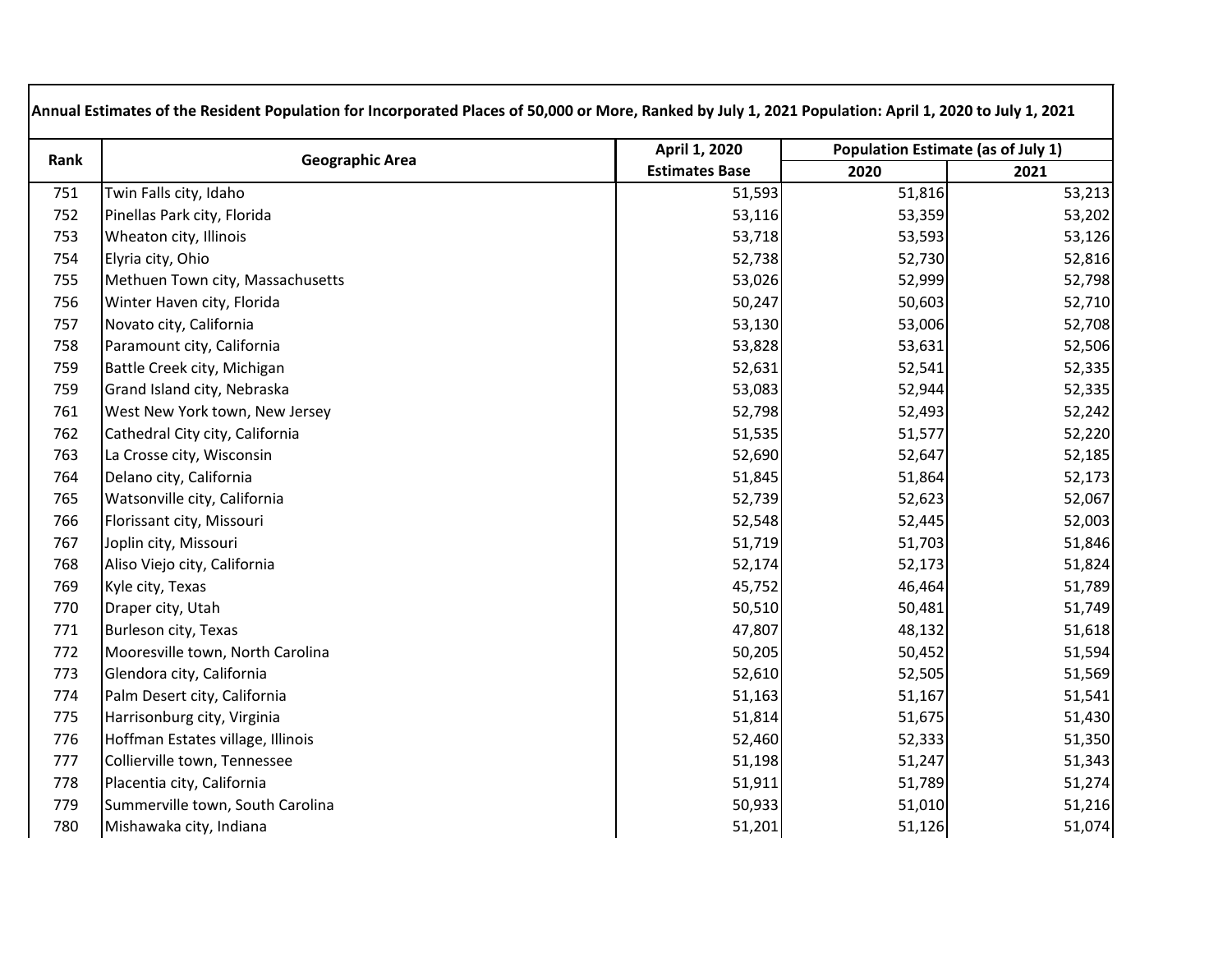| Rank | <b>Geographic Area</b>            | April 1, 2020         | <b>Population Estimate (as of July 1)</b> |        |
|------|-----------------------------------|-----------------------|-------------------------------------------|--------|
|      |                                   | <b>Estimates Base</b> | 2020                                      | 2021   |
| 751  | Twin Falls city, Idaho            | 51,593                | 51,816                                    | 53,213 |
| 752  | Pinellas Park city, Florida       | 53,116                | 53,359                                    | 53,202 |
| 753  | Wheaton city, Illinois            | 53,718                | 53,593                                    | 53,126 |
| 754  | Elyria city, Ohio                 | 52,738                | 52,730                                    | 52,816 |
| 755  | Methuen Town city, Massachusetts  | 53,026                | 52,999                                    | 52,798 |
| 756  | Winter Haven city, Florida        | 50,247                | 50,603                                    | 52,710 |
| 757  | Novato city, California           | 53,130                | 53,006                                    | 52,708 |
| 758  | Paramount city, California        | 53,828                | 53,631                                    | 52,506 |
| 759  | Battle Creek city, Michigan       | 52,631                | 52,541                                    | 52,335 |
| 759  | Grand Island city, Nebraska       | 53,083                | 52,944                                    | 52,335 |
| 761  | West New York town, New Jersey    | 52,798                | 52,493                                    | 52,242 |
| 762  | Cathedral City city, California   | 51,535                | 51,577                                    | 52,220 |
| 763  | La Crosse city, Wisconsin         | 52,690                | 52,647                                    | 52,185 |
| 764  | Delano city, California           | 51,845                | 51,864                                    | 52,173 |
| 765  | Watsonville city, California      | 52,739                | 52,623                                    | 52,067 |
| 766  | Florissant city, Missouri         | 52,548                | 52,445                                    | 52,003 |
| 767  | Joplin city, Missouri             | 51,719                | 51,703                                    | 51,846 |
| 768  | Aliso Viejo city, California      | 52,174                | 52,173                                    | 51,824 |
| 769  | Kyle city, Texas                  | 45,752                | 46,464                                    | 51,789 |
| 770  | Draper city, Utah                 | 50,510                | 50,481                                    | 51,749 |
| 771  | Burleson city, Texas              | 47,807                | 48,132                                    | 51,618 |
| 772  | Mooresville town, North Carolina  | 50,205                | 50,452                                    | 51,594 |
| 773  | Glendora city, California         | 52,610                | 52,505                                    | 51,569 |
| 774  | Palm Desert city, California      | 51,163                | 51,167                                    | 51,541 |
| 775  | Harrisonburg city, Virginia       | 51,814                | 51,675                                    | 51,430 |
| 776  | Hoffman Estates village, Illinois | 52,460                | 52,333                                    | 51,350 |
| 777  | Collierville town, Tennessee      | 51,198                | 51,247                                    | 51,343 |
| 778  | Placentia city, California        | 51,911                | 51,789                                    | 51,274 |
| 779  | Summerville town, South Carolina  | 50,933                | 51,010                                    | 51,216 |
| 780  | Mishawaka city, Indiana           | 51,201                | 51,126                                    | 51,074 |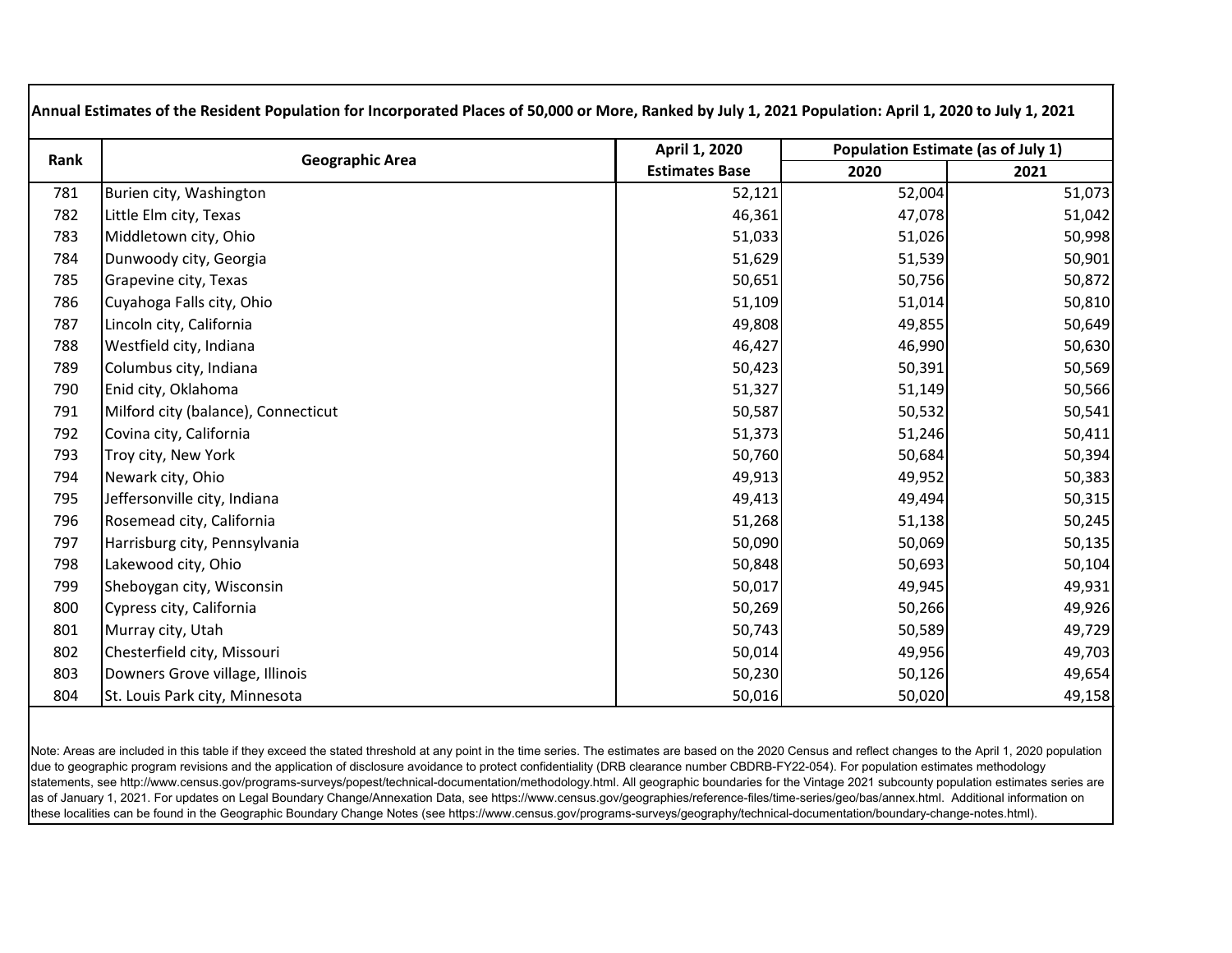| Rank | <b>Geographic Area</b>              | April 1, 2020         | Population Estimate (as of July 1) |        |
|------|-------------------------------------|-----------------------|------------------------------------|--------|
|      |                                     | <b>Estimates Base</b> | 2020                               | 2021   |
| 781  | Burien city, Washington             | 52,121                | 52,004                             | 51,073 |
| 782  | Little Elm city, Texas              | 46,361                | 47,078                             | 51,042 |
| 783  | Middletown city, Ohio               | 51,033                | 51,026                             | 50,998 |
| 784  | Dunwoody city, Georgia              | 51,629                | 51,539                             | 50,901 |
| 785  | Grapevine city, Texas               | 50,651                | 50,756                             | 50,872 |
| 786  | Cuyahoga Falls city, Ohio           | 51,109                | 51,014                             | 50,810 |
| 787  | Lincoln city, California            | 49,808                | 49,855                             | 50,649 |
| 788  | Westfield city, Indiana             | 46,427                | 46,990                             | 50,630 |
| 789  | Columbus city, Indiana              | 50,423                | 50,391                             | 50,569 |
| 790  | Enid city, Oklahoma                 | 51,327                | 51,149                             | 50,566 |
| 791  | Milford city (balance), Connecticut | 50,587                | 50,532                             | 50,541 |
| 792  | Covina city, California             | 51,373                | 51,246                             | 50,411 |
| 793  | Troy city, New York                 | 50,760                | 50,684                             | 50,394 |
| 794  | Newark city, Ohio                   | 49,913                | 49,952                             | 50,383 |
| 795  | Jeffersonville city, Indiana        | 49,413                | 49,494                             | 50,315 |
| 796  | Rosemead city, California           | 51,268                | 51,138                             | 50,245 |
| 797  | Harrisburg city, Pennsylvania       | 50,090                | 50,069                             | 50,135 |
| 798  | Lakewood city, Ohio                 | 50,848                | 50,693                             | 50,104 |
| 799  | Sheboygan city, Wisconsin           | 50,017                | 49,945                             | 49,931 |
| 800  | Cypress city, California            | 50,269                | 50,266                             | 49,926 |
| 801  | Murray city, Utah                   | 50,743                | 50,589                             | 49,729 |
| 802  | Chesterfield city, Missouri         | 50,014                | 49,956                             | 49,703 |
| 803  | Downers Grove village, Illinois     | 50,230                | 50,126                             | 49,654 |
| 804  | St. Louis Park city, Minnesota      | 50,016                | 50,020                             | 49,158 |

Note: Areas are included in this table if they exceed the stated threshold at any point in the time series. The estimates are based on the 2020 Census and reflect changes to the April 1, 2020 population due to geographic program revisions and the application of disclosure avoidance to protect confidentiality (DRB clearance number CBDRB-FY22-054). For population estimates methodology statements, see http://www.census.gov/programs-surveys/popest/technical-documentation/methodology.html. All geographic boundaries for the Vintage 2021 subcounty population estimates series are as of January 1, 2021. For updates on Legal Boundary Change/Annexation Data, see https://www.census.gov/geographies/reference-files/time-series/geo/bas/annex.html. Additional information on these localities can be found in the Geographic Boundary Change Notes (see https://www.census.gov/programs-surveys/geography/technical-documentation/boundary-change-notes.html).